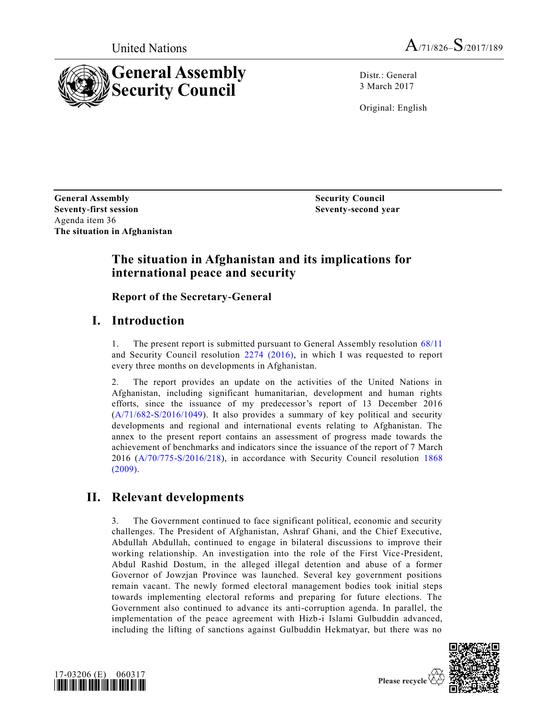



Distr.: General 3 March 2017

Original: English

**General Assembly Seventy-first session** Agenda item 36 **The situation in Afghanistan**

**Security Council Seventy-second year**

# **The situation in Afghanistan and its implications for international peace and security**

**Report of the Secretary-General** 

# **I. Introduction**

1. The present report is submitted pursuant to General Assembly resolution [68/11](http://undocs.org/A/RES/68/11) and Security Council resolution [2274 \(2016\),](http://undocs.org/S/RES/2274(2016)) in which I was requested to report every three months on developments in Afghanistan.

2. The report provides an update on the activities of the United Nations in Afghanistan, including significant humanitarian, development and human rights efforts, since the issuance of my predecessor's report of 13 December 2016 [\(A/71/682-S/2016/1049\)](http://undocs.org/A/71/682). It also provides a summary of key political and security developments and regional and international events relating to Afghanistan. The annex to the present report contains an assessment of progress made towards the achievement of benchmarks and indicators since the issuance of the report of 7 March 2016 [\(A/70/775-S/2016/218\)](http://undocs.org/A/70/775), in accordance with Security Council resolution [1868](http://undocs.org/S/RES/1868(2009))  [\(2009\).](http://undocs.org/S/RES/1868(2009))

# **II. Relevant developments**

3. The Government continued to face significant political, economic and security challenges. The President of Afghanistan, Ashraf Ghani, and the Chief Executive, Abdullah Abdullah, continued to engage in bilateral discussions to improve their working relationship. An investigation into the role of the First Vice-President, Abdul Rashid Dostum, in the alleged illegal detention and abuse of a former Governor of Jowzjan Province was launched. Several key government positions remain vacant. The newly formed electoral management bodies took initial steps towards implementing electoral reforms and preparing for future elections. The Government also continued to advance its anti-corruption agenda. In parallel, the implementation of the peace agreement with Hizb-i Islami Gulbuddin advanced, including the lifting of sanctions against Gulbuddin Hekmatyar, but there was no



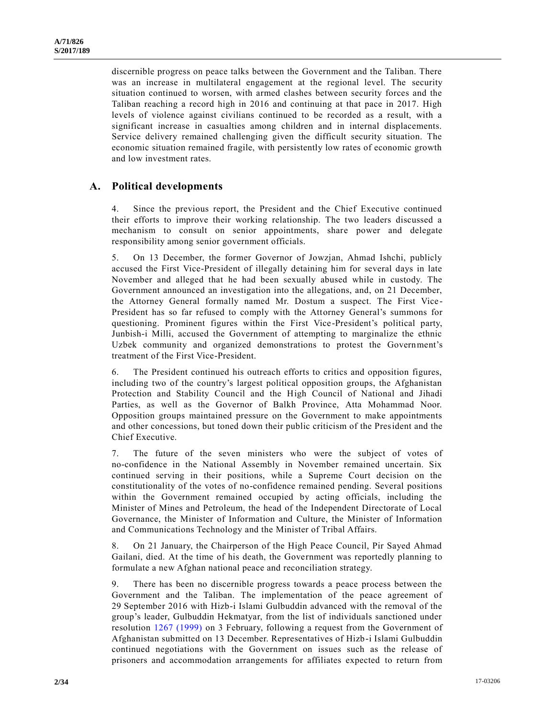discernible progress on peace talks between the Government and the Taliban. There was an increase in multilateral engagement at the regional level. The security situation continued to worsen, with armed clashes between security forces and the Taliban reaching a record high in 2016 and continuing at that pace in 2017. High levels of violence against civilians continued to be recorded as a result, with a significant increase in casualties among children and in internal displacements. Service delivery remained challenging given the difficult security situation. The economic situation remained fragile, with persistently low rates of economic growth and low investment rates.

### **A. Political developments**

4. Since the previous report, the President and the Chief Executive continued their efforts to improve their working relationship. The two leaders discussed a mechanism to consult on senior appointments, share power and delegate responsibility among senior government officials.

5. On 13 December, the former Governor of Jowzjan, Ahmad Ishchi, publicly accused the First Vice-President of illegally detaining him for several days in late November and alleged that he had been sexually abused while in custody. The Government announced an investigation into the allegations, and, on 21 December, the Attorney General formally named Mr. Dostum a suspect. The First Vice - President has so far refused to comply with the Attorney General's summons for questioning. Prominent figures within the First Vice-President's political party, Junbish-i Milli, accused the Government of attempting to marginalize the ethnic Uzbek community and organized demonstrations to protest the Government's treatment of the First Vice-President.

6. The President continued his outreach efforts to critics and opposition figures, including two of the country's largest political opposition groups, the Afghanistan Protection and Stability Council and the High Council of National and Jihadi Parties, as well as the Governor of Balkh Province, Atta Mohammad Noor. Opposition groups maintained pressure on the Government to make appointments and other concessions, but toned down their public criticism of the President and the Chief Executive.

7. The future of the seven ministers who were the subject of votes of no-confidence in the National Assembly in November remained uncertain. Six continued serving in their positions, while a Supreme Court decision on the constitutionality of the votes of no-confidence remained pending. Several positions within the Government remained occupied by acting officials, including the Minister of Mines and Petroleum, the head of the Independent Directorate of Local Governance, the Minister of Information and Culture, the Minister of Information and Communications Technology and the Minister of Tribal Affairs.

8. On 21 January, the Chairperson of the High Peace Council, Pir Sayed Ahmad Gailani, died. At the time of his death, the Government was reportedly planning to formulate a new Afghan national peace and reconciliation strategy.

9. There has been no discernible progress towards a peace process between the Government and the Taliban. The implementation of the peace agreement of 29 September 2016 with Hizb-i Islami Gulbuddin advanced with the removal of the group's leader, Gulbuddin Hekmatyar, from the list of individuals sanctioned under resolution [1267 \(1999\)](http://undocs.org/S/RES/1267(1999)) on 3 February, following a request from the Government of Afghanistan submitted on 13 December. Representatives of Hizb-i Islami Gulbuddin continued negotiations with the Government on issues such as the release of prisoners and accommodation arrangements for affiliates expected to return from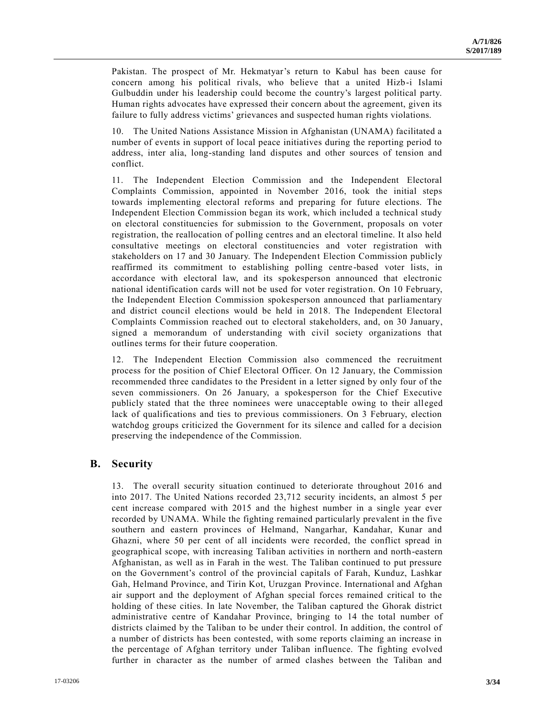Pakistan. The prospect of Mr. Hekmatyar's return to Kabul has been cause for concern among his political rivals, who believe that a united Hizb-i Islami Gulbuddin under his leadership could become the country's largest political party. Human rights advocates have expressed their concern about the agreement, given its failure to fully address victims' grievances and suspected human rights violations.

10. The United Nations Assistance Mission in Afghanistan (UNAMA) facilitated a number of events in support of local peace initiatives during the reporting period to address, inter alia, long-standing land disputes and other sources of tension and conflict.

11. The Independent Election Commission and the Independent Electoral Complaints Commission, appointed in November 2016, took the initial steps towards implementing electoral reforms and preparing for future elections. The Independent Election Commission began its work, which included a technical study on electoral constituencies for submission to the Government, proposals on voter registration, the reallocation of polling centres and an electoral timeline. It also held consultative meetings on electoral constituencies and voter registration with stakeholders on 17 and 30 January. The Independent Election Commission publicly reaffirmed its commitment to establishing polling centre-based voter lists, in accordance with electoral law, and its spokesperson announced that electronic national identification cards will not be used for voter registration. On 10 February, the Independent Election Commission spokesperson announced that parliamentary and district council elections would be held in 2018. The Independent Electoral Complaints Commission reached out to electoral stakeholders, and, on 30 January, signed a memorandum of understanding with civil society organizations that outlines terms for their future cooperation.

12. The Independent Election Commission also commenced the recruitment process for the position of Chief Electoral Officer. On 12 January, the Commission recommended three candidates to the President in a letter signed by only four of the seven commissioners. On 26 January, a spokesperson for the Chief Executive publicly stated that the three nominees were unacceptable owing to their alleged lack of qualifications and ties to previous commissioners. On 3 February, election watchdog groups criticized the Government for its silence and called for a decision preserving the independence of the Commission.

#### **B. Security**

13. The overall security situation continued to deteriorate throughout 2016 and into 2017. The United Nations recorded 23,712 security incidents, an almost 5 per cent increase compared with 2015 and the highest number in a single year ever recorded by UNAMA. While the fighting remained particularly prevalent in the five southern and eastern provinces of Helmand, Nangarhar, Kandahar, Kunar and Ghazni, where 50 per cent of all incidents were recorded, the conflict spread in geographical scope, with increasing Taliban activities in northern and north-eastern Afghanistan, as well as in Farah in the west. The Taliban continued to put pressure on the Government's control of the provincial capitals of Farah, Kunduz, Lashkar Gah, Helmand Province, and Tirin Kot, Uruzgan Province. International and Afghan air support and the deployment of Afghan special forces remained critical to the holding of these cities. In late November, the Taliban captured the Ghorak district administrative centre of Kandahar Province, bringing to 14 the total number of districts claimed by the Taliban to be under their control. In addition, the control of a number of districts has been contested, with some reports claiming an increase in the percentage of Afghan territory under Taliban influence. The fighting evolved further in character as the number of armed clashes between the Taliban and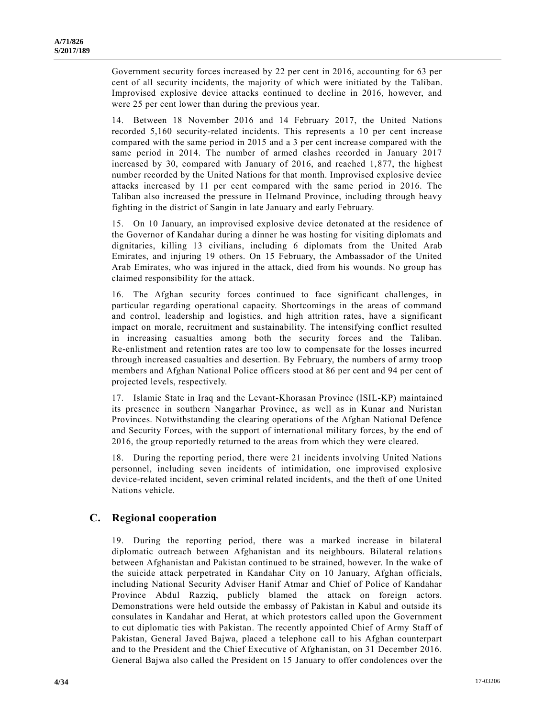Government security forces increased by 22 per cent in 2016, accounting for 63 per cent of all security incidents, the majority of which were initiated by the Taliban. Improvised explosive device attacks continued to decline in 2016, however, and were 25 per cent lower than during the previous year.

14. Between 18 November 2016 and 14 February 2017, the United Nations recorded 5,160 security-related incidents. This represents a 10 per cent increase compared with the same period in 2015 and a 3 per cent increase compared with the same period in 2014. The number of armed clashes recorded in January 2017 increased by 30, compared with January of 2016, and reached 1,877, the highest number recorded by the United Nations for that month. Improvised explosive device attacks increased by 11 per cent compared with the same period in 2016. The Taliban also increased the pressure in Helmand Province, including through heavy fighting in the district of Sangin in late January and early February.

15. On 10 January, an improvised explosive device detonated at the residence of the Governor of Kandahar during a dinner he was hosting for visiting diplomats and dignitaries, killing 13 civilians, including 6 diplomats from the United Arab Emirates, and injuring 19 others. On 15 February, the Ambassador of the United Arab Emirates, who was injured in the attack, died from his wounds. No group has claimed responsibility for the attack.

16. The Afghan security forces continued to face significant challenges, in particular regarding operational capacity. Shortcomings in the areas of command and control, leadership and logistics, and high attrition rates, have a significant impact on morale, recruitment and sustainability. The intensifying conflict resulted in increasing casualties among both the security forces and the Taliban. Re-enlistment and retention rates are too low to compensate for the losses incurred through increased casualties and desertion. By February, the numbers of army troop members and Afghan National Police officers stood at 86 per cent and 94 per cent of projected levels, respectively.

17. Islamic State in Iraq and the Levant-Khorasan Province (ISIL-KP) maintained its presence in southern Nangarhar Province, as well as in Kunar and Nuristan Provinces. Notwithstanding the clearing operations of the Afghan National Defence and Security Forces, with the support of international military forces, by the end of 2016, the group reportedly returned to the areas from which they were cleared.

18. During the reporting period, there were 21 incidents involving United Nations personnel, including seven incidents of intimidation, one improvised explosive device-related incident, seven criminal related incidents, and the theft of one United Nations vehicle.

#### **C. Regional cooperation**

19. During the reporting period, there was a marked increase in bilateral diplomatic outreach between Afghanistan and its neighbours. Bilateral relations between Afghanistan and Pakistan continued to be strained, however. In the wake of the suicide attack perpetrated in Kandahar City on 10 January, Afghan officials, including National Security Adviser Hanif Atmar and Chief of Police of Kandahar Province Abdul Razziq, publicly blamed the attack on foreign actors. Demonstrations were held outside the embassy of Pakistan in Kabul and outside its consulates in Kandahar and Herat, at which protestors called upon the Government to cut diplomatic ties with Pakistan. The recently appointed Chief of Army Staff of Pakistan, General Javed Bajwa, placed a telephone call to his Afghan counterpart and to the President and the Chief Executive of Afghanistan, on 31 December 2016. General Bajwa also called the President on 15 January to offer condolences over the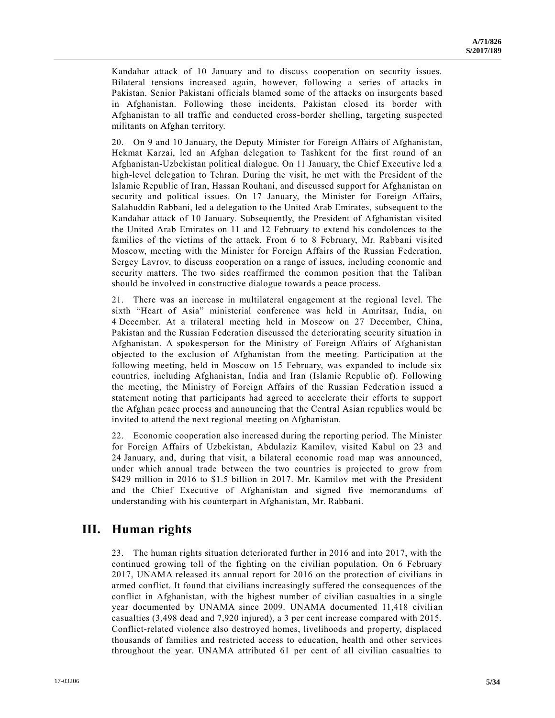Kandahar attack of 10 January and to discuss cooperation on security issues. Bilateral tensions increased again, however, following a series of attacks in Pakistan. Senior Pakistani officials blamed some of the attacks on insurgents based in Afghanistan. Following those incidents, Pakistan closed its border with Afghanistan to all traffic and conducted cross-border shelling, targeting suspected militants on Afghan territory.

20. On 9 and 10 January, the Deputy Minister for Foreign Affairs of Afghanistan, Hekmat Karzai, led an Afghan delegation to Tashkent for the first round of an Afghanistan-Uzbekistan political dialogue. On 11 January, the Chief Executive led a high-level delegation to Tehran. During the visit, he met with the President of the Islamic Republic of Iran, Hassan Rouhani, and discussed support for Afghanistan on security and political issues. On 17 January, the Minister for Foreign Affairs, Salahuddin Rabbani, led a delegation to the United Arab Emirates, subsequent to the Kandahar attack of 10 January. Subsequently, the President of Afghanistan visited the United Arab Emirates on 11 and 12 February to extend his condolences to the families of the victims of the attack. From 6 to 8 February, Mr. Rabbani visited Moscow, meeting with the Minister for Foreign Affairs of the Russian Federation, Sergey Lavrov, to discuss cooperation on a range of issues, including economic and security matters. The two sides reaffirmed the common position that the Taliban should be involved in constructive dialogue towards a peace process.

21. There was an increase in multilateral engagement at the regional level. The sixth "Heart of Asia" ministerial conference was held in Amritsar, India, on 4 December. At a trilateral meeting held in Moscow on 27 December, China, Pakistan and the Russian Federation discussed the deteriorating security situation in Afghanistan. A spokesperson for the Ministry of Foreign Affairs of Afghanistan objected to the exclusion of Afghanistan from the meeting. Participation at the following meeting, held in Moscow on 15 February, was expanded to include six countries, including Afghanistan, India and Iran (Islamic Republic of). Following the meeting, the Ministry of Foreign Affairs of the Russian Federation issued a statement noting that participants had agreed to accelerate their efforts to support the Afghan peace process and announcing that the Central Asian republics would be invited to attend the next regional meeting on Afghanistan.

22. Economic cooperation also increased during the reporting period. The Minister for Foreign Affairs of Uzbekistan, Abdulaziz Kamilov, visited Kabul on 23 and 24 January, and, during that visit, a bilateral economic road map was announced, under which annual trade between the two countries is projected to grow from \$429 million in 2016 to \$1.5 billion in 2017. Mr. Kamilov met with the President and the Chief Executive of Afghanistan and signed five memorandums of understanding with his counterpart in Afghanistan, Mr. Rabbani.

## **III. Human rights**

23. The human rights situation deteriorated further in 2016 and into 2017, with the continued growing toll of the fighting on the civilian population. On 6 February 2017, UNAMA released its annual report for 2016 on the protection of civilians in armed conflict. It found that civilians increasingly suffered the consequences of the conflict in Afghanistan, with the highest number of civilian casualties in a single year documented by UNAMA since 2009. UNAMA documented 11,418 civilian casualties (3,498 dead and 7,920 injured), a 3 per cent increase compared with 2015. Conflict-related violence also destroyed homes, livelihoods and property, displaced thousands of families and restricted access to education, health and other services throughout the year. UNAMA attributed 61 per cent of all civilian casualties to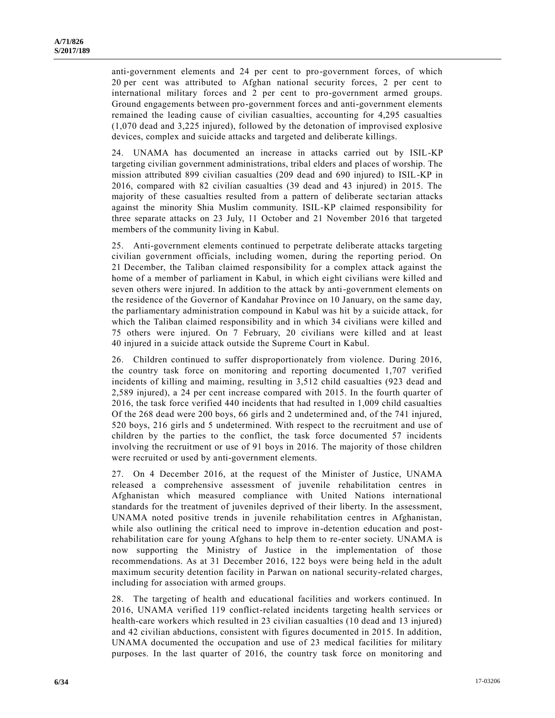anti-government elements and 24 per cent to pro-government forces, of which 20 per cent was attributed to Afghan national security forces, 2 per cent to international military forces and 2 per cent to pro-government armed groups. Ground engagements between pro-government forces and anti-government elements remained the leading cause of civilian casualties, accounting for 4,295 casualties (1,070 dead and 3,225 injured), followed by the detonation of improvised explosive devices, complex and suicide attacks and targeted and deliberate killings.

24. UNAMA has documented an increase in attacks carried out by ISIL-KP targeting civilian government administrations, tribal elders and places of worship. The mission attributed 899 civilian casualties (209 dead and 690 injured) to ISIL-KP in 2016, compared with 82 civilian casualties (39 dead and 43 injured) in 2015. The majority of these casualties resulted from a pattern of deliberate sectarian attacks against the minority Shia Muslim community. ISIL-KP claimed responsibility for three separate attacks on 23 July, 11 October and 21 November 2016 that targeted members of the community living in Kabul.

25. Anti-government elements continued to perpetrate deliberate attacks targeting civilian government officials, including women, during the reporting period. On 21 December, the Taliban claimed responsibility for a complex attack against the home of a member of parliament in Kabul, in which eight civilians were killed and seven others were injured. In addition to the attack by anti-government elements on the residence of the Governor of Kandahar Province on 10 January, on the same day, the parliamentary administration compound in Kabul was hit by a suicide attack, for which the Taliban claimed responsibility and in which 34 civilians were killed and 75 others were injured. On 7 February, 20 civilians were killed and at least 40 injured in a suicide attack outside the Supreme Court in Kabul.

26. Children continued to suffer disproportionately from violence. During 2016, the country task force on monitoring and reporting documented 1,707 verified incidents of killing and maiming, resulting in 3,512 child casualties (923 dead and 2,589 injured), a 24 per cent increase compared with 2015. In the fourth quarter of 2016, the task force verified 440 incidents that had resulted in 1,009 child casualties Of the 268 dead were 200 boys, 66 girls and 2 undetermined and, of the 741 injured, 520 boys, 216 girls and 5 undetermined. With respect to the recruitment and use of children by the parties to the conflict, the task force documented 57 incidents involving the recruitment or use of 91 boys in 2016. The majority of those children were recruited or used by anti-government elements.

27. On 4 December 2016, at the request of the Minister of Justice, UNAMA released a comprehensive assessment of juvenile rehabilitation centres in Afghanistan which measured compliance with United Nations international standards for the treatment of juveniles deprived of their liberty. In the assessment, UNAMA noted positive trends in juvenile rehabilitation centres in Afghanistan, while also outlining the critical need to improve in-detention education and postrehabilitation care for young Afghans to help them to re-enter society. UNAMA is now supporting the Ministry of Justice in the implementation of those recommendations. As at 31 December 2016, 122 boys were being held in the adult maximum security detention facility in Parwan on national security-related charges, including for association with armed groups.

28. The targeting of health and educational facilities and workers continued. In 2016, UNAMA verified 119 conflict-related incidents targeting health services or health-care workers which resulted in 23 civilian casualties (10 dead and 13 injured) and 42 civilian abductions, consistent with figures documented in 2015. In addition, UNAMA documented the occupation and use of 23 medical facilities for military purposes. In the last quarter of 2016, the country task force on monitoring and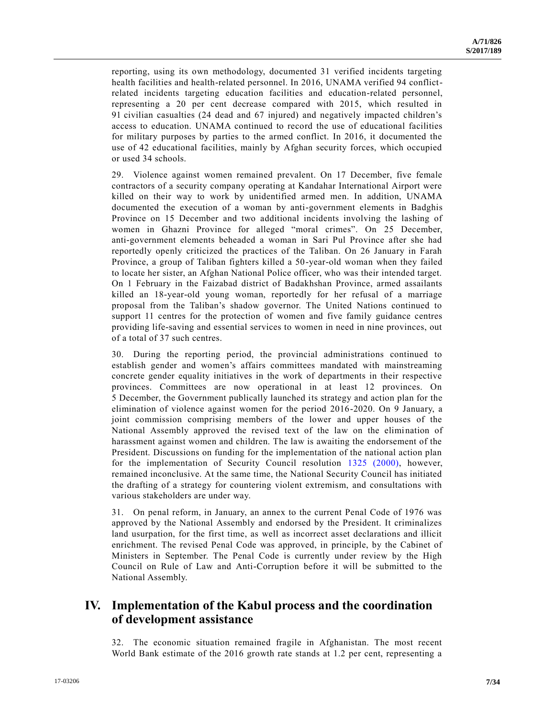reporting, using its own methodology, documented 31 verified incidents targeting health facilities and health-related personnel. In 2016, UNAMA verified 94 conflictrelated incidents targeting education facilities and education-related personnel, representing a 20 per cent decrease compared with 2015, which resulted in 91 civilian casualties (24 dead and 67 injured) and negatively impacted children's access to education. UNAMA continued to record the use of educational facilities for military purposes by parties to the armed conflict. In 2016, it documented the use of 42 educational facilities, mainly by Afghan security forces, which occupied or used 34 schools.

29. Violence against women remained prevalent. On 17 December, five female contractors of a security company operating at Kandahar International Airport were killed on their way to work by unidentified armed men. In addition, UNAMA documented the execution of a woman by anti-government elements in Badghis Province on 15 December and two additional incidents involving the lashing of women in Ghazni Province for alleged "moral crimes". On 25 December, anti-government elements beheaded a woman in Sari Pul Province after she had reportedly openly criticized the practices of the Taliban. On 26 January in Farah Province, a group of Taliban fighters killed a 50-year-old woman when they failed to locate her sister, an Afghan National Police officer, who was their intended target. On 1 February in the Faizabad district of Badakhshan Province, armed assailants killed an 18-year-old young woman, reportedly for her refusal of a marriage proposal from the Taliban's shadow governor. The United Nations continued to support 11 centres for the protection of women and five family guidance centres providing life-saving and essential services to women in need in nine provinces, out of a total of 37 such centres.

30. During the reporting period, the provincial administrations continued to establish gender and women's affairs committees mandated with mainstreaming concrete gender equality initiatives in the work of departments in their respective provinces. Committees are now operational in at least 12 provinces. On 5 December, the Government publically launched its strategy and action plan for the elimination of violence against women for the period 2016-2020. On 9 January, a joint commission comprising members of the lower and upper houses of the National Assembly approved the revised text of the law on the elimi nation of harassment against women and children. The law is awaiting the endorsement of the President. Discussions on funding for the implementation of the national action plan for the implementation of Security Council resolution [1325 \(2000\),](http://undocs.org/S/RES/1325(2000)) however, remained inconclusive. At the same time, the National Security Council has initiated the drafting of a strategy for countering violent extremism, and consultations with various stakeholders are under way.

31. On penal reform, in January, an annex to the current Penal Code of 1976 was approved by the National Assembly and endorsed by the President. It criminalizes land usurpation, for the first time, as well as incorrect asset declarations and illicit enrichment. The revised Penal Code was approved, in principle, by the Cabinet of Ministers in September. The Penal Code is currently under review by the High Council on Rule of Law and Anti-Corruption before it will be submitted to the National Assembly.

# **IV. Implementation of the Kabul process and the coordination of development assistance**

32. The economic situation remained fragile in Afghanistan. The most recent World Bank estimate of the 2016 growth rate stands at 1.2 per cent, representing a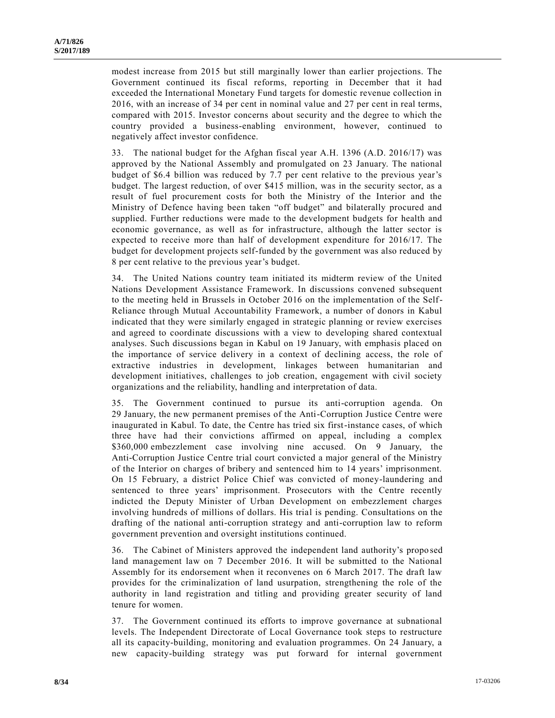modest increase from 2015 but still marginally lower than earlier projections. The Government continued its fiscal reforms, reporting in December that it had exceeded the International Monetary Fund targets for domestic revenue collection in 2016, with an increase of 34 per cent in nominal value and 27 per cent in real terms, compared with 2015. Investor concerns about security and the degree to which the country provided a business-enabling environment, however, continued to negatively affect investor confidence.

33. The national budget for the Afghan fiscal year A.H. 1396 (A.D. 2016/17) was approved by the National Assembly and promulgated on 23 January. The national budget of \$6.4 billion was reduced by 7.7 per cent relative to the previous year's budget. The largest reduction, of over \$415 million, was in the security sector, as a result of fuel procurement costs for both the Ministry of the Interior and the Ministry of Defence having been taken "off budget" and bilaterally procured and supplied. Further reductions were made to the development budgets for health and economic governance, as well as for infrastructure, although the latter sector is expected to receive more than half of development expenditure for 2016/17. The budget for development projects self-funded by the government was also reduced by 8 per cent relative to the previous year's budget.

34. The United Nations country team initiated its midterm review of the United Nations Development Assistance Framework. In discussions convened subsequent to the meeting held in Brussels in October 2016 on the implementation of the Self-Reliance through Mutual Accountability Framework, a number of donors in Kabul indicated that they were similarly engaged in strategic planning or review exercises and agreed to coordinate discussions with a view to developing shared contextual analyses. Such discussions began in Kabul on 19 January, with emphasis placed on the importance of service delivery in a context of declining access, the role of extractive industries in development, linkages between humanitarian and development initiatives, challenges to job creation, engagement with civil society organizations and the reliability, handling and interpretation of data.

35. The Government continued to pursue its anti-corruption agenda. On 29 January, the new permanent premises of the Anti-Corruption Justice Centre were inaugurated in Kabul. To date, the Centre has tried six first-instance cases, of which three have had their convictions affirmed on appeal, including a complex \$360,000 embezzlement case involving nine accused. On 9 January, the Anti-Corruption Justice Centre trial court convicted a major general of the Ministry of the Interior on charges of bribery and sentenced him to 14 years' imprisonment. On 15 February, a district Police Chief was convicted of money-laundering and sentenced to three years' imprisonment. Prosecutors with the Centre recently indicted the Deputy Minister of Urban Development on embezzlement charges involving hundreds of millions of dollars. His trial is pending. Consultations on the drafting of the national anti-corruption strategy and anti-corruption law to reform government prevention and oversight institutions continued.

36. The Cabinet of Ministers approved the independent land authority's propo sed land management law on 7 December 2016. It will be submitted to the National Assembly for its endorsement when it reconvenes on 6 March 2017. The draft law provides for the criminalization of land usurpation, strengthening the role of the authority in land registration and titling and providing greater security of land tenure for women.

37. The Government continued its efforts to improve governance at subnational levels. The Independent Directorate of Local Governance took steps to restructure all its capacity-building, monitoring and evaluation programmes. On 24 January, a new capacity-building strategy was put forward for internal government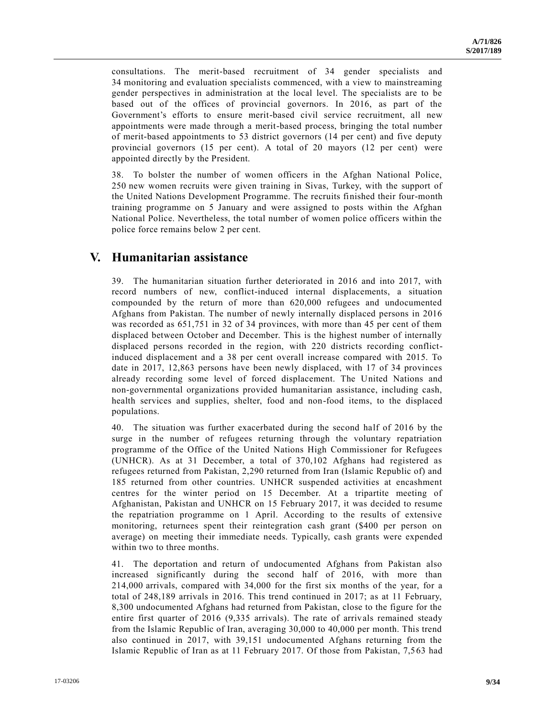consultations. The merit-based recruitment of 34 gender specialists and 34 monitoring and evaluation specialists commenced, with a view to mainstreaming gender perspectives in administration at the local level. The specialists are to be based out of the offices of provincial governors. In 2016, as part of the Government's efforts to ensure merit-based civil service recruitment, all new appointments were made through a merit-based process, bringing the total number of merit-based appointments to 53 district governors (14 per cent) and five deputy provincial governors (15 per cent). A total of 20 mayors (12 per cent) were appointed directly by the President.

38. To bolster the number of women officers in the Afghan National Police, 250 new women recruits were given training in Sivas, Turkey, with the support of the United Nations Development Programme. The recruits finished their four-month training programme on 5 January and were assigned to posts within the Afghan National Police. Nevertheless, the total number of women police officers within the police force remains below 2 per cent.

### **V. Humanitarian assistance**

39. The humanitarian situation further deteriorated in 2016 and into 2017, with record numbers of new, conflict-induced internal displacements, a situation compounded by the return of more than 620,000 refugees and undocumented Afghans from Pakistan. The number of newly internally displaced persons in 2016 was recorded as 651,751 in 32 of 34 provinces, with more than 45 per cent of them displaced between October and December. This is the highest number of internally displaced persons recorded in the region, with 220 districts recording conflictinduced displacement and a 38 per cent overall increase compared with 2015. To date in 2017, 12,863 persons have been newly displaced, with 17 of 34 provinces already recording some level of forced displacement. The United Nations and non-governmental organizations provided humanitarian assistance, including cash, health services and supplies, shelter, food and non-food items, to the displaced populations.

40. The situation was further exacerbated during the second half of 2016 by the surge in the number of refugees returning through the voluntary repatriation programme of the Office of the United Nations High Commissioner for Refugees (UNHCR). As at 31 December, a total of 370,102 Afghans had registered as refugees returned from Pakistan, 2,290 returned from Iran (Islamic Republic of) and 185 returned from other countries. UNHCR suspended activities at encashment centres for the winter period on 15 December. At a tripartite meeting of Afghanistan, Pakistan and UNHCR on 15 February 2017, it was decided to resume the repatriation programme on 1 April. According to the results of extensive monitoring, returnees spent their reintegration cash grant (\$400 per person on average) on meeting their immediate needs. Typically, cash grants were expended within two to three months.

41. The deportation and return of undocumented Afghans from Pakistan also increased significantly during the second half of 2016, with more than 214,000 arrivals, compared with 34,000 for the first six months of the year, for a total of 248,189 arrivals in 2016. This trend continued in 2017; as at 11 February, 8,300 undocumented Afghans had returned from Pakistan, close to the figure for the entire first quarter of 2016 (9,335 arrivals). The rate of arrivals remained steady from the Islamic Republic of Iran, averaging 30,000 to 40,000 per month. This trend also continued in 2017, with 39,151 undocumented Afghans returning from the Islamic Republic of Iran as at 11 February 2017. Of those from Pakistan, 7,563 had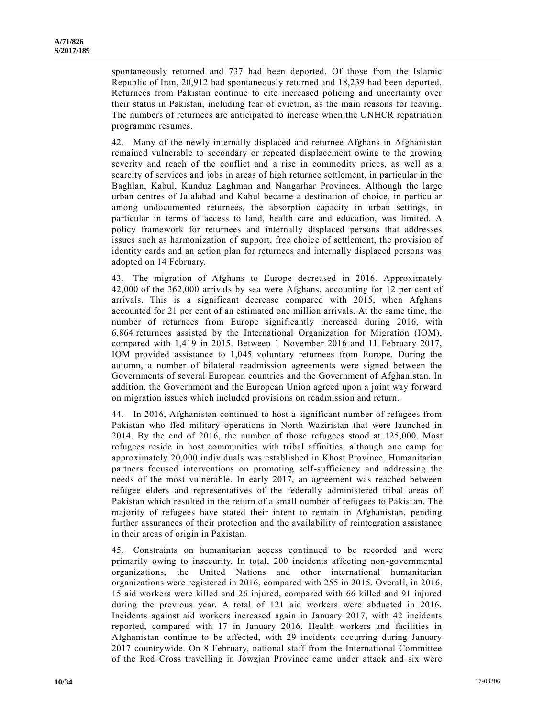spontaneously returned and 737 had been deported. Of those from the Islamic Republic of Iran, 20,912 had spontaneously returned and 18,239 had been deported. Returnees from Pakistan continue to cite increased policing and uncertainty over their status in Pakistan, including fear of eviction, as the main reasons for leaving. The numbers of returnees are anticipated to increase when the UNHCR repatriation programme resumes.

42. Many of the newly internally displaced and returnee Afghans in Afghanistan remained vulnerable to secondary or repeated displacement owing to the growing severity and reach of the conflict and a rise in commodity prices, as well as a scarcity of services and jobs in areas of high returnee settlement, in particular in the Baghlan, Kabul, Kunduz Laghman and Nangarhar Provinces. Although the large urban centres of Jalalabad and Kabul became a destination of choice, in particular among undocumented returnees, the absorption capacity in urban settings, in particular in terms of access to land, health care and education, was limited. A policy framework for returnees and internally displaced persons that addresses issues such as harmonization of support, free choice of settlement, the provision of identity cards and an action plan for returnees and internally displaced persons was adopted on 14 February.

43. The migration of Afghans to Europe decreased in 2016. Approximately 42,000 of the 362,000 arrivals by sea were Afghans, accounting for 12 per cent of arrivals. This is a significant decrease compared with 2015, when Afghans accounted for 21 per cent of an estimated one million arrivals. At the same time, the number of returnees from Europe significantly increased during 2016, with 6,864 returnees assisted by the International Organization for Migration (IOM), compared with 1,419 in 2015. Between 1 November 2016 and 11 February 2017, IOM provided assistance to 1,045 voluntary returnees from Europe. During the autumn, a number of bilateral readmission agreements were signed between the Governments of several European countries and the Government of Afghanistan. In addition, the Government and the European Union agreed upon a joint way forward on migration issues which included provisions on readmission and return.

44. In 2016, Afghanistan continued to host a significant number of refugees from Pakistan who fled military operations in North Waziristan that were launched in 2014. By the end of 2016, the number of those refugees stood at 125,000. Most refugees reside in host communities with tribal affinities, although one camp for approximately 20,000 individuals was established in Khost Province. Humanitarian partners focused interventions on promoting self-sufficiency and addressing the needs of the most vulnerable. In early 2017, an agreement was reached between refugee elders and representatives of the federally administered tribal areas of Pakistan which resulted in the return of a small number of refugees to Pakistan. The majority of refugees have stated their intent to remain in Afghanistan, pending further assurances of their protection and the availability of reintegration assistance in their areas of origin in Pakistan.

45. Constraints on humanitarian access continued to be recorded and were primarily owing to insecurity. In total, 200 incidents affecting non-governmental organizations, the United Nations and other international humanitarian organizations were registered in 2016, compared with 255 in 2015. Overall, in 2016, 15 aid workers were killed and 26 injured, compared with 66 killed and 91 injured during the previous year. A total of 121 aid workers were abducted in 2016. Incidents against aid workers increased again in January 2017, with 42 incidents reported, compared with 17 in January 2016. Health workers and facilities in Afghanistan continue to be affected, with 29 incidents occurring during January 2017 countrywide. On 8 February, national staff from the International Committee of the Red Cross travelling in Jowzjan Province came under attack and six were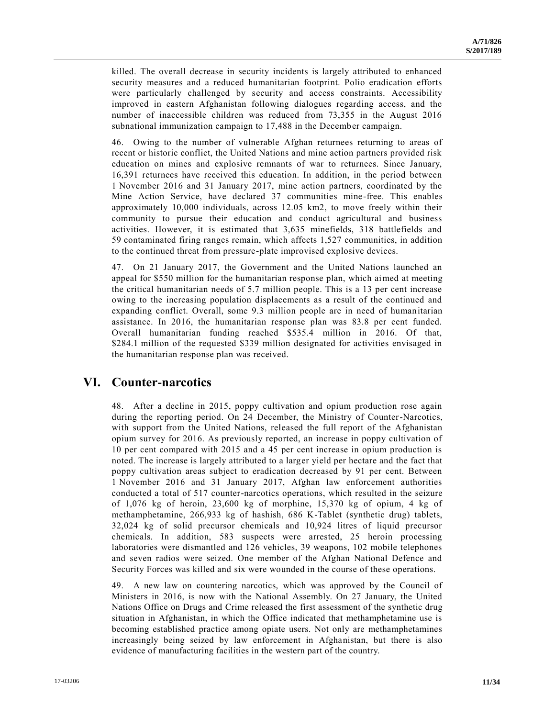killed. The overall decrease in security incidents is largely attributed to enhanced security measures and a reduced humanitarian footprint. Polio eradication efforts were particularly challenged by security and access constraints. Accessibility improved in eastern Afghanistan following dialogues regarding access, and the number of inaccessible children was reduced from 73,355 in the August 2016 subnational immunization campaign to 17,488 in the December campaign.

46. Owing to the number of vulnerable Afghan returnees returning to areas of recent or historic conflict, the United Nations and mine action partners provided risk education on mines and explosive remnants of war to returnees. Since January, 16,391 returnees have received this education. In addition, in the period between 1 November 2016 and 31 January 2017, mine action partners, coordinated by the Mine Action Service, have declared 37 communities mine-free. This enables approximately 10,000 individuals, across 12.05 km2, to move freely within their community to pursue their education and conduct agricultural and business activities. However, it is estimated that 3,635 minefields, 318 battlefields and 59 contaminated firing ranges remain, which affects 1,527 communities, in addition to the continued threat from pressure-plate improvised explosive devices.

47. On 21 January 2017, the Government and the United Nations launched an appeal for \$550 million for the humanitarian response plan, which aimed at meeting the critical humanitarian needs of 5.7 million people. This is a 13 per cent increase owing to the increasing population displacements as a result of the continued and expanding conflict. Overall, some 9.3 million people are in need of humanitarian assistance. In 2016, the humanitarian response plan was 83.8 per cent funded. Overall humanitarian funding reached \$535.4 million in 2016. Of that, \$284.1 million of the requested \$339 million designated for activities envisaged in the humanitarian response plan was received.

# **VI. Counter-narcotics**

48. After a decline in 2015, poppy cultivation and opium production rose again during the reporting period. On 24 December, the Ministry of Counter-Narcotics, with support from the United Nations, released the full report of the Afghanistan opium survey for 2016. As previously reported, an increase in poppy cultivation of 10 per cent compared with 2015 and a 45 per cent increase in opium production is noted. The increase is largely attributed to a larger yield per hectare and the fact that poppy cultivation areas subject to eradication decreased by 91 per cent. Between 1 November 2016 and 31 January 2017, Afghan law enforcement authorities conducted a total of 517 counter-narcotics operations, which resulted in the seizure of 1,076 kg of heroin, 23,600 kg of morphine, 15,370 kg of opium, 4 kg of methamphetamine, 266,933 kg of hashish, 686 K-Tablet (synthetic drug) tablets, 32,024 kg of solid precursor chemicals and 10,924 litres of liquid precursor chemicals. In addition, 583 suspects were arrested, 25 heroin processing laboratories were dismantled and 126 vehicles, 39 weapons, 102 mobile telephones and seven radios were seized. One member of the Afghan National Defence and Security Forces was killed and six were wounded in the course of these operations.

49. A new law on countering narcotics, which was approved by the Council of Ministers in 2016, is now with the National Assembly. On 27 January, the United Nations Office on Drugs and Crime released the first assessment of the synthetic drug situation in Afghanistan, in which the Office indicated that methamphetamine use is becoming established practice among opiate users. Not only are methamphetamines increasingly being seized by law enforcement in Afghanistan, but there is also evidence of manufacturing facilities in the western part of the country.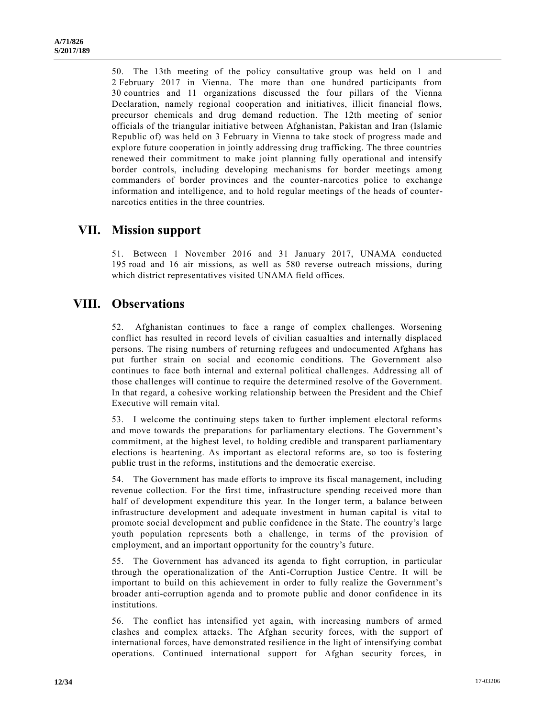50. The 13th meeting of the policy consultative group was held on 1 and 2 February 2017 in Vienna. The more than one hundred participants from 30 countries and 11 organizations discussed the four pillars of the Vienna Declaration, namely regional cooperation and initiatives, illicit financial flows, precursor chemicals and drug demand reduction. The 12th meeting of senior officials of the triangular initiative between Afghanistan, Pakistan and Iran (Islamic Republic of) was held on 3 February in Vienna to take stock of progress made and explore future cooperation in jointly addressing drug trafficking. The three countries renewed their commitment to make joint planning fully operational and intensify border controls, including developing mechanisms for border meetings among commanders of border provinces and the counter-narcotics police to exchange information and intelligence, and to hold regular meetings of the heads of counternarcotics entities in the three countries.

# **VII. Mission support**

51. Between 1 November 2016 and 31 January 2017, UNAMA conducted 195 road and 16 air missions, as well as 580 reverse outreach missions, during which district representatives visited UNAMA field offices.

# **VIII. Observations**

52. Afghanistan continues to face a range of complex challenges. Worsening conflict has resulted in record levels of civilian casualties and internally displaced persons. The rising numbers of returning refugees and undocumented Afghans has put further strain on social and economic conditions. The Government also continues to face both internal and external political challenges. Addressing all of those challenges will continue to require the determined resolve of the Government. In that regard, a cohesive working relationship between the President and the Chief Executive will remain vital.

53. I welcome the continuing steps taken to further implement electoral reforms and move towards the preparations for parliamentary elections. The Government's commitment, at the highest level, to holding credible and transparent parliamentary elections is heartening. As important as electoral reforms are, so too is fostering public trust in the reforms, institutions and the democratic exercise.

54. The Government has made efforts to improve its fiscal management, including revenue collection. For the first time, infrastructure spending received more than half of development expenditure this year. In the longer term, a balance between infrastructure development and adequate investment in human capital is vital to promote social development and public confidence in the State. The country's large youth population represents both a challenge, in terms of the provision of employment, and an important opportunity for the country's future.

55. The Government has advanced its agenda to fight corruption, in particular through the operationalization of the Anti-Corruption Justice Centre. It will be important to build on this achievement in order to fully realize the Government's broader anti-corruption agenda and to promote public and donor confidence in its institutions.

56. The conflict has intensified yet again, with increasing numbers of armed clashes and complex attacks. The Afghan security forces, with the support of international forces, have demonstrated resilience in the light of intensifying combat operations. Continued international support for Afghan security forces, in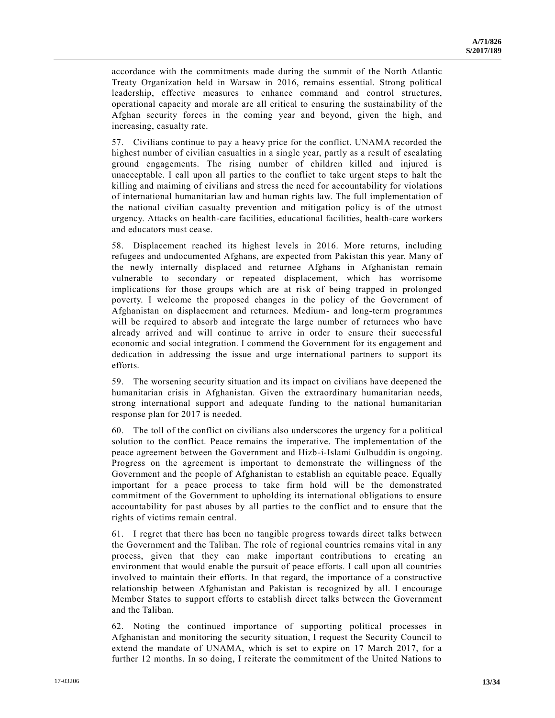accordance with the commitments made during the summit of the North Atlantic Treaty Organization held in Warsaw in 2016, remains essential. Strong political leadership, effective measures to enhance command and control structures, operational capacity and morale are all critical to ensuring the sustainability of the Afghan security forces in the coming year and beyond, given the high, and increasing, casualty rate.

57. Civilians continue to pay a heavy price for the conflict. UNAMA recorded the highest number of civilian casualties in a single year, partly as a result of escalating ground engagements. The rising number of children killed and injured is unacceptable. I call upon all parties to the conflict to take urgent steps to halt the killing and maiming of civilians and stress the need for accountability for violations of international humanitarian law and human rights law. The full implementation of the national civilian casualty prevention and mitigation policy is of the utmost urgency. Attacks on health-care facilities, educational facilities, health-care workers and educators must cease.

58. Displacement reached its highest levels in 2016. More returns, including refugees and undocumented Afghans, are expected from Pakistan this year. Many of the newly internally displaced and returnee Afghans in Afghanistan remain vulnerable to secondary or repeated displacement, which has worrisome implications for those groups which are at risk of being trapped in prolonged poverty. I welcome the proposed changes in the policy of the Government of Afghanistan on displacement and returnees. Medium- and long-term programmes will be required to absorb and integrate the large number of returnees who have already arrived and will continue to arrive in order to ensure their successful economic and social integration. I commend the Government for its engagement and dedication in addressing the issue and urge international partners to support its efforts.

59. The worsening security situation and its impact on civilians have deepened the humanitarian crisis in Afghanistan. Given the extraordinary humanitarian needs, strong international support and adequate funding to the national humanitarian response plan for 2017 is needed.

60. The toll of the conflict on civilians also underscores the urgency for a politi cal solution to the conflict. Peace remains the imperative. The implementation of the peace agreement between the Government and Hizb-i-Islami Gulbuddin is ongoing. Progress on the agreement is important to demonstrate the willingness of the Government and the people of Afghanistan to establish an equitable peace. Equally important for a peace process to take firm hold will be the demonstrated commitment of the Government to upholding its international obligations to ensure accountability for past abuses by all parties to the conflict and to ensure that the rights of victims remain central.

61. I regret that there has been no tangible progress towards direct talks between the Government and the Taliban. The role of regional countries remains vital in any process, given that they can make important contributions to creating an environment that would enable the pursuit of peace efforts. I call upon all countries involved to maintain their efforts. In that regard, the importance of a constructive relationship between Afghanistan and Pakistan is recognized by all. I encourage Member States to support efforts to establish direct talks between the Government and the Taliban.

62. Noting the continued importance of supporting political processes in Afghanistan and monitoring the security situation, I request the Security Council to extend the mandate of UNAMA, which is set to expire on 17 March 2017, for a further 12 months. In so doing, I reiterate the commitment of the United Nations to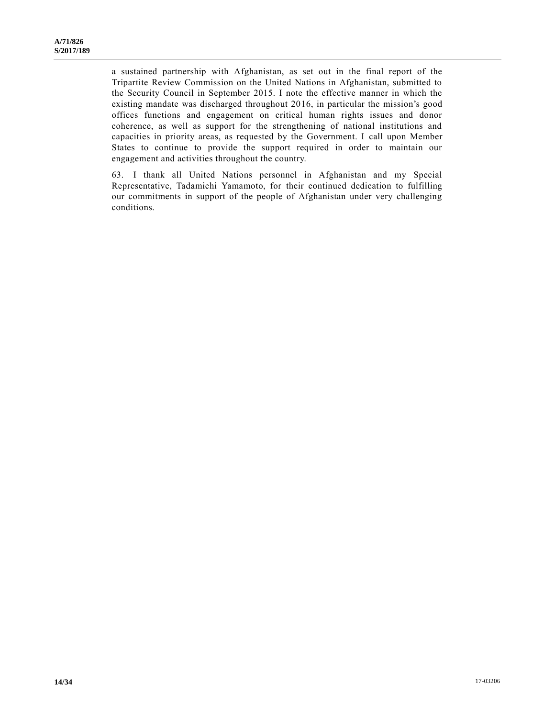a sustained partnership with Afghanistan, as set out in the final report of the Tripartite Review Commission on the United Nations in Afghanistan, submitted to the Security Council in September 2015. I note the effective manner in which the existing mandate was discharged throughout 2016, in particular the mission's good offices functions and engagement on critical human rights issues and donor coherence, as well as support for the strengthening of national institutions and capacities in priority areas, as requested by the Government. I call upon Member States to continue to provide the support required in order to maintain our engagement and activities throughout the country.

63. I thank all United Nations personnel in Afghanistan and my Special Representative, Tadamichi Yamamoto, for their continued dedication to fulfilling our commitments in support of the people of Afghanistan under very challenging conditions.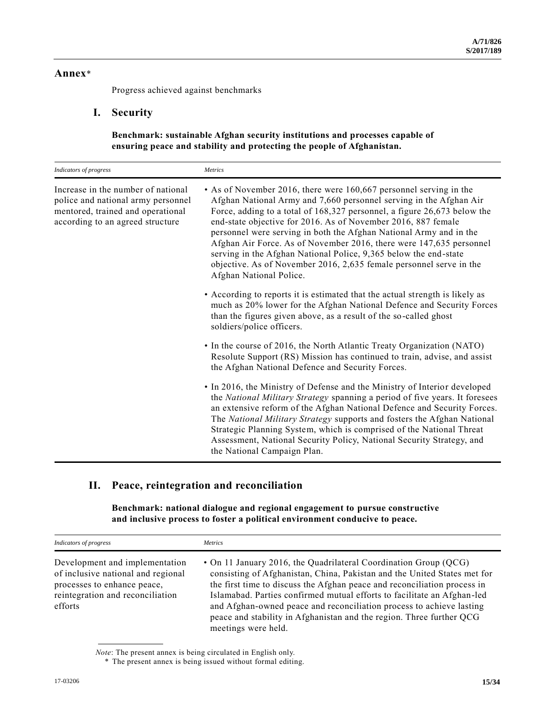#### **Annex**\*

Progress achieved against benchmarks

#### **I. Security**

**Benchmark: sustainable Afghan security institutions and processes capable of ensuring peace and stability and protecting the people of Afghanistan.**

| Indicators of progress                                                                                                                            | Metrics                                                                                                                                                                                                                                                                                                                                                                                                                                                                                                                                                                                                  |
|---------------------------------------------------------------------------------------------------------------------------------------------------|----------------------------------------------------------------------------------------------------------------------------------------------------------------------------------------------------------------------------------------------------------------------------------------------------------------------------------------------------------------------------------------------------------------------------------------------------------------------------------------------------------------------------------------------------------------------------------------------------------|
| Increase in the number of national<br>police and national army personnel<br>mentored, trained and operational<br>according to an agreed structure | • As of November 2016, there were 160,667 personnel serving in the<br>Afghan National Army and 7,660 personnel serving in the Afghan Air<br>Force, adding to a total of 168,327 personnel, a figure 26,673 below the<br>end-state objective for 2016. As of November 2016, 887 female<br>personnel were serving in both the Afghan National Army and in the<br>Afghan Air Force. As of November 2016, there were 147,635 personnel<br>serving in the Afghan National Police, 9,365 below the end-state<br>objective. As of November 2016, 2,635 female personnel serve in the<br>Afghan National Police. |
|                                                                                                                                                   | • According to reports it is estimated that the actual strength is likely as<br>much as 20% lower for the Afghan National Defence and Security Forces<br>than the figures given above, as a result of the so-called ghost<br>soldiers/police officers.                                                                                                                                                                                                                                                                                                                                                   |
|                                                                                                                                                   | • In the course of 2016, the North Atlantic Treaty Organization (NATO)<br>Resolute Support (RS) Mission has continued to train, advise, and assist<br>the Afghan National Defence and Security Forces.                                                                                                                                                                                                                                                                                                                                                                                                   |
|                                                                                                                                                   | • In 2016, the Ministry of Defense and the Ministry of Interior developed<br>the National Military Strategy spanning a period of five years. It foresees<br>an extensive reform of the Afghan National Defence and Security Forces.<br>The National Military Strategy supports and fosters the Afghan National<br>Strategic Planning System, which is comprised of the National Threat<br>Assessment, National Security Policy, National Security Strategy, and<br>the National Campaign Plan.                                                                                                           |

## **II. Peace, reintegration and reconciliation**

**Benchmark: national dialogue and regional engagement to pursue constructive and inclusive process to foster a political environment conducive to peace.**

| Indicators of progress                                                                                                                             | <b>Metrics</b>                                                                                                                                                                                                                                                                                                                                                                                                                                                             |
|----------------------------------------------------------------------------------------------------------------------------------------------------|----------------------------------------------------------------------------------------------------------------------------------------------------------------------------------------------------------------------------------------------------------------------------------------------------------------------------------------------------------------------------------------------------------------------------------------------------------------------------|
| Development and implementation<br>of inclusive national and regional<br>processes to enhance peace,<br>reintegration and reconciliation<br>efforts | • On 11 January 2016, the Quadrilateral Coordination Group (QCG)<br>consisting of Afghanistan, China, Pakistan and the United States met for<br>the first time to discuss the Afghan peace and reconciliation process in<br>Islamabad. Parties confirmed mutual efforts to facilitate an Afghan-led<br>and Afghan-owned peace and reconciliation process to achieve lasting<br>peace and stability in Afghanistan and the region. Three further QCG<br>meetings were held. |

*Note*: The present annex is being circulated in English only.

<sup>\*</sup> The present annex is being issued without formal editing.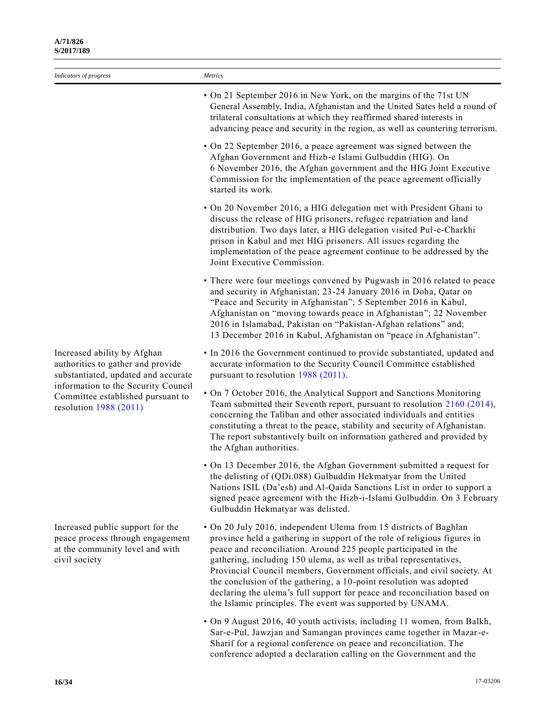| Indicators of progress                                                                                                                                                                                         | Metrics                                                                                                                                                                                                                                                                                                                                                                                                                                                                                                                                                                          |
|----------------------------------------------------------------------------------------------------------------------------------------------------------------------------------------------------------------|----------------------------------------------------------------------------------------------------------------------------------------------------------------------------------------------------------------------------------------------------------------------------------------------------------------------------------------------------------------------------------------------------------------------------------------------------------------------------------------------------------------------------------------------------------------------------------|
|                                                                                                                                                                                                                | • On 21 September 2016 in New York, on the margins of the 71st UN<br>General Assembly, India, Afghanistan and the United Sates held a round of<br>trilateral consultations at which they reaffirmed shared interests in<br>advancing peace and security in the region, as well as countering terrorism.                                                                                                                                                                                                                                                                          |
|                                                                                                                                                                                                                | · On 22 September 2016, a peace agreement was signed between the<br>Afghan Government and Hizb-e Islami Gulbuddin (HIG). On<br>6 November 2016, the Afghan government and the HIG Joint Executive<br>Commission for the implementation of the peace agreement officially<br>started its work.                                                                                                                                                                                                                                                                                    |
|                                                                                                                                                                                                                | • On 20 November 2016, a HIG delegation met with President Ghani to<br>discuss the release of HIG prisoners, refugee repatriation and land<br>distribution. Two days later, a HIG delegation visited Pul-e-Charkhi<br>prison in Kabul and met HIG prisoners. All issues regarding the<br>implementation of the peace agreement continue to be addressed by the<br>Joint Executive Commission.                                                                                                                                                                                    |
|                                                                                                                                                                                                                | • There were four meetings convened by Pugwash in 2016 related to peace<br>and security in Afghanistan; 23-24 January 2016 in Doha, Qatar on<br>"Peace and Security in Afghanistan"; 5 September 2016 in Kabul,<br>Afghanistan on "moving towards peace in Afghanistan"; 22 November<br>2016 in Islamabad, Pakistan on "Pakistan-Afghan relations" and;<br>13 December 2016 in Kabul, Afghanistan on "peace in Afghanistan".                                                                                                                                                     |
| Increased ability by Afghan<br>authorities to gather and provide<br>substantiated, updated and accurate<br>information to the Security Council<br>Committee established pursuant to<br>resolution $1988(2011)$ | • In 2016 the Government continued to provide substantiated, updated and<br>accurate information to the Security Council Committee established<br>pursuant to resolution 1988 (2011).                                                                                                                                                                                                                                                                                                                                                                                            |
|                                                                                                                                                                                                                | • On 7 October 2016, the Analytical Support and Sanctions Monitoring<br>Team submitted their Seventh report, pursuant to resolution 2160 (2014),<br>concerning the Taliban and other associated individuals and entities<br>constituting a threat to the peace, stability and security of Afghanistan.<br>The report substantively built on information gathered and provided by<br>the Afghan authorities.                                                                                                                                                                      |
|                                                                                                                                                                                                                | • On 13 December 2016, the Afghan Government submitted a request for<br>the delisting of (QDi.088) Gulbuddin Hekmatyar from the United<br>Nations ISIL (Da'esh) and Al-Qaida Sanctions List in order to support a<br>signed peace agreement with the Hizb-i-Islami Gulbuddin. On 3 February<br>Gulbuddin Hekmatyar was delisted.                                                                                                                                                                                                                                                 |
| Increased public support for the<br>peace process through engagement<br>at the community level and with<br>civil society                                                                                       | • On 20 July 2016, independent Ulema from 15 districts of Baghlan<br>province held a gathering in support of the role of religious figures in<br>peace and reconciliation. Around 225 people participated in the<br>gathering, including 150 ulema, as well as tribal representatives,<br>Provincial Council members, Government officials, and civil society. At<br>the conclusion of the gathering, a 10-point resolution was adopted<br>declaring the ulema's full support for peace and reconciliation based on<br>the Islamic principles. The event was supported by UNAMA. |
|                                                                                                                                                                                                                | • On 9 August 2016, 40 youth activists, including 11 women, from Balkh,<br>Sar-e-Pul, Jawzjan and Samangan provinces came together in Mazar-e-<br>Sharif for a regional conference on peace and reconciliation. The<br>conference adopted a declaration calling on the Government and the                                                                                                                                                                                                                                                                                        |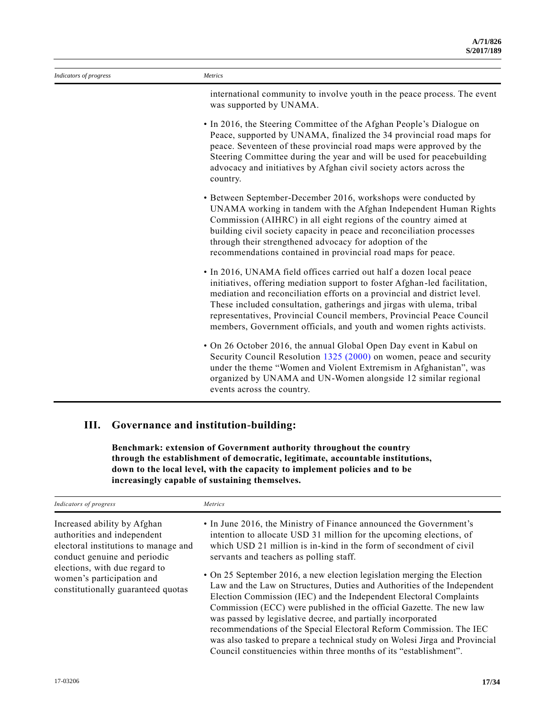| Indicators of progress | Metrics                                                                                                                                                                                                                                                                                                                                                                                                                                                 |
|------------------------|---------------------------------------------------------------------------------------------------------------------------------------------------------------------------------------------------------------------------------------------------------------------------------------------------------------------------------------------------------------------------------------------------------------------------------------------------------|
|                        | international community to involve youth in the peace process. The event<br>was supported by UNAMA.                                                                                                                                                                                                                                                                                                                                                     |
|                        | • In 2016, the Steering Committee of the Afghan People's Dialogue on<br>Peace, supported by UNAMA, finalized the 34 provincial road maps for<br>peace. Seventeen of these provincial road maps were approved by the<br>Steering Committee during the year and will be used for peacebuilding<br>advocacy and initiatives by Afghan civil society actors across the<br>country.                                                                          |
|                        | • Between September-December 2016, workshops were conducted by<br>UNAMA working in tandem with the Afghan Independent Human Rights<br>Commission (AIHRC) in all eight regions of the country aimed at<br>building civil society capacity in peace and reconciliation processes<br>through their strengthened advocacy for adoption of the<br>recommendations contained in provincial road maps for peace.                                               |
|                        | • In 2016, UNAMA field offices carried out half a dozen local peace<br>initiatives, offering mediation support to foster Afghan-led facilitation,<br>mediation and reconciliation efforts on a provincial and district level.<br>These included consultation, gatherings and jirgas with ulema, tribal<br>representatives, Provincial Council members, Provincial Peace Council<br>members, Government officials, and youth and women rights activists. |
|                        | • On 26 October 2016, the annual Global Open Day event in Kabul on<br>Security Council Resolution 1325 (2000) on women, peace and security<br>under the theme "Women and Violent Extremism in Afghanistan", was<br>organized by UNAMA and UN-Women alongside 12 similar regional<br>events across the country.                                                                                                                                          |

## **III. Governance and institution-building:**

**Benchmark: extension of Government authority throughout the country through the establishment of democratic, legitimate, accountable institutions, down to the local level, with the capacity to implement policies and to be increasingly capable of sustaining themselves.**

| Indicators of progress                                                                                                                                                                                                                 | Metrics                                                                                                                                                                                                                                                                                                                                                                                                                                                                                                                                                                                                                                                                                                                                                                                                                                                     |
|----------------------------------------------------------------------------------------------------------------------------------------------------------------------------------------------------------------------------------------|-------------------------------------------------------------------------------------------------------------------------------------------------------------------------------------------------------------------------------------------------------------------------------------------------------------------------------------------------------------------------------------------------------------------------------------------------------------------------------------------------------------------------------------------------------------------------------------------------------------------------------------------------------------------------------------------------------------------------------------------------------------------------------------------------------------------------------------------------------------|
| Increased ability by Afghan<br>authorities and independent<br>electoral institutions to manage and<br>conduct genuine and periodic<br>elections, with due regard to<br>women's participation and<br>constitutionally guaranteed quotas | • In June 2016, the Ministry of Finance announced the Government's<br>intention to allocate USD 31 million for the upcoming elections, of<br>which USD 21 million is in-kind in the form of secondment of civil<br>servants and teachers as polling staff.<br>• On 25 September 2016, a new election legislation merging the Election<br>Law and the Law on Structures, Duties and Authorities of the Independent<br>Election Commission (IEC) and the Independent Electoral Complaints<br>Commission (ECC) were published in the official Gazette. The new law<br>was passed by legislative decree, and partially incorporated<br>recommendations of the Special Electoral Reform Commission. The IEC<br>was also tasked to prepare a technical study on Wolesi Jirga and Provincial<br>Council constituencies within three months of its "establishment". |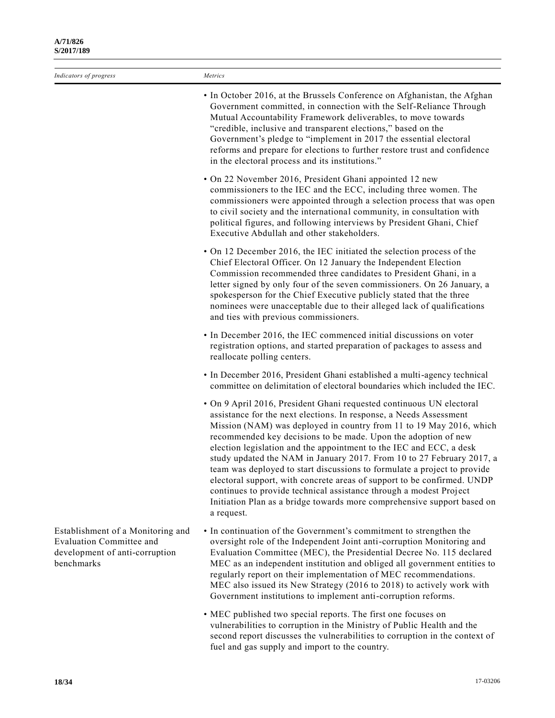| Indicators of progress                                                                                               | Metrics                                                                                                                                                                                                                                                                                                                                                                                                                                                                                                                                                                                                                                                                                                                                                   |
|----------------------------------------------------------------------------------------------------------------------|-----------------------------------------------------------------------------------------------------------------------------------------------------------------------------------------------------------------------------------------------------------------------------------------------------------------------------------------------------------------------------------------------------------------------------------------------------------------------------------------------------------------------------------------------------------------------------------------------------------------------------------------------------------------------------------------------------------------------------------------------------------|
|                                                                                                                      | • In October 2016, at the Brussels Conference on Afghanistan, the Afghan<br>Government committed, in connection with the Self-Reliance Through<br>Mutual Accountability Framework deliverables, to move towards<br>"credible, inclusive and transparent elections," based on the<br>Government's pledge to "implement in 2017 the essential electoral<br>reforms and prepare for elections to further restore trust and confidence<br>in the electoral process and its institutions."                                                                                                                                                                                                                                                                     |
|                                                                                                                      | • On 22 November 2016, President Ghani appointed 12 new<br>commissioners to the IEC and the ECC, including three women. The<br>commissioners were appointed through a selection process that was open<br>to civil society and the international community, in consultation with<br>political figures, and following interviews by President Ghani, Chief<br>Executive Abdullah and other stakeholders.                                                                                                                                                                                                                                                                                                                                                    |
|                                                                                                                      | • On 12 December 2016, the IEC initiated the selection process of the<br>Chief Electoral Officer. On 12 January the Independent Election<br>Commission recommended three candidates to President Ghani, in a<br>letter signed by only four of the seven commissioners. On 26 January, a<br>spokesperson for the Chief Executive publicly stated that the three<br>nominees were unacceptable due to their alleged lack of qualifications<br>and ties with previous commissioners.                                                                                                                                                                                                                                                                         |
|                                                                                                                      | • In December 2016, the IEC commenced initial discussions on voter<br>registration options, and started preparation of packages to assess and<br>reallocate polling centers.                                                                                                                                                                                                                                                                                                                                                                                                                                                                                                                                                                              |
|                                                                                                                      | • In December 2016, President Ghani established a multi-agency technical<br>committee on delimitation of electoral boundaries which included the IEC.                                                                                                                                                                                                                                                                                                                                                                                                                                                                                                                                                                                                     |
|                                                                                                                      | • On 9 April 2016, President Ghani requested continuous UN electoral<br>assistance for the next elections. In response, a Needs Assessment<br>Mission (NAM) was deployed in country from 11 to 19 May 2016, which<br>recommended key decisions to be made. Upon the adoption of new<br>election legislation and the appointment to the IEC and ECC, a desk<br>study updated the NAM in January 2017. From 10 to 27 February 2017, a<br>team was deployed to start discussions to formulate a project to provide<br>electoral support, with concrete areas of support to be confirmed. UNDP<br>continues to provide technical assistance through a modest Project<br>Initiation Plan as a bridge towards more comprehensive support based on<br>a request. |
| Establishment of a Monitoring and<br><b>Evaluation Committee and</b><br>development of anti-corruption<br>benchmarks | • In continuation of the Government's commitment to strengthen the<br>oversight role of the Independent Joint anti-corruption Monitoring and<br>Evaluation Committee (MEC), the Presidential Decree No. 115 declared<br>MEC as an independent institution and obliged all government entities to<br>regularly report on their implementation of MEC recommendations.<br>MEC also issued its New Strategy (2016 to 2018) to actively work with<br>Government institutions to implement anti-corruption reforms.                                                                                                                                                                                                                                            |
|                                                                                                                      | • MEC published two special reports. The first one focuses on<br>vulnerabilities to corruption in the Ministry of Public Health and the                                                                                                                                                                                                                                                                                                                                                                                                                                                                                                                                                                                                                   |

vulnerabilities to corruption in the Ministry of Public Health and the second report discusses the vulnerabilities to corruption in the context of fuel and gas supply and import to the country.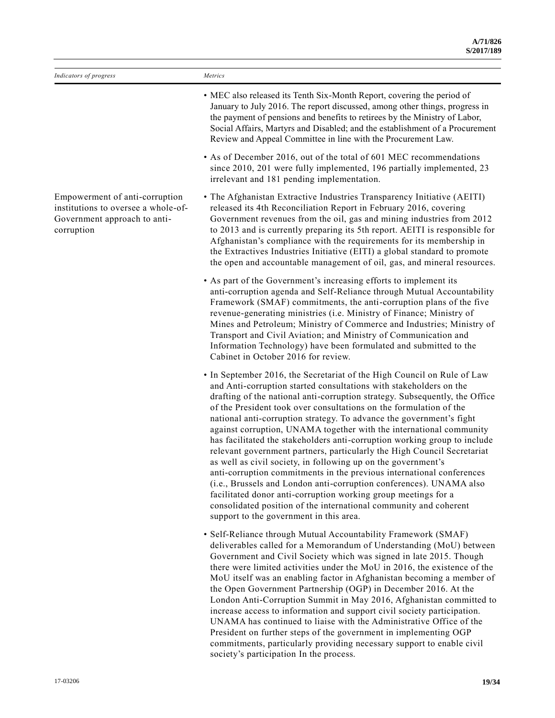| Indicators of progress                                                                                              | Metrics                                                                                                                                                                                                                                                                                                                                                                                                                                                                                                                                                                                                                                                                                                                                                                                                                                                                                                                                                                                                      |
|---------------------------------------------------------------------------------------------------------------------|--------------------------------------------------------------------------------------------------------------------------------------------------------------------------------------------------------------------------------------------------------------------------------------------------------------------------------------------------------------------------------------------------------------------------------------------------------------------------------------------------------------------------------------------------------------------------------------------------------------------------------------------------------------------------------------------------------------------------------------------------------------------------------------------------------------------------------------------------------------------------------------------------------------------------------------------------------------------------------------------------------------|
|                                                                                                                     | • MEC also released its Tenth Six-Month Report, covering the period of<br>January to July 2016. The report discussed, among other things, progress in<br>the payment of pensions and benefits to retirees by the Ministry of Labor,<br>Social Affairs, Martyrs and Disabled; and the establishment of a Procurement<br>Review and Appeal Committee in line with the Procurement Law.                                                                                                                                                                                                                                                                                                                                                                                                                                                                                                                                                                                                                         |
|                                                                                                                     | • As of December 2016, out of the total of 601 MEC recommendations<br>since 2010, 201 were fully implemented, 196 partially implemented, 23<br>irrelevant and 181 pending implementation.                                                                                                                                                                                                                                                                                                                                                                                                                                                                                                                                                                                                                                                                                                                                                                                                                    |
| Empowerment of anti-corruption<br>institutions to oversee a whole-of-<br>Government approach to anti-<br>corruption | • The Afghanistan Extractive Industries Transparency Initiative (AEITI)<br>released its 4th Reconciliation Report in February 2016, covering<br>Government revenues from the oil, gas and mining industries from 2012<br>to 2013 and is currently preparing its 5th report. AEITI is responsible for<br>Afghanistan's compliance with the requirements for its membership in<br>the Extractives Industries Initiative (EITI) a global standard to promote<br>the open and accountable management of oil, gas, and mineral resources.                                                                                                                                                                                                                                                                                                                                                                                                                                                                         |
|                                                                                                                     | • As part of the Government's increasing efforts to implement its<br>anti-corruption agenda and Self-Reliance through Mutual Accountability<br>Framework (SMAF) commitments, the anti-corruption plans of the five<br>revenue-generating ministries (i.e. Ministry of Finance; Ministry of<br>Mines and Petroleum; Ministry of Commerce and Industries; Ministry of<br>Transport and Civil Aviation; and Ministry of Communication and<br>Information Technology) have been formulated and submitted to the<br>Cabinet in October 2016 for review.                                                                                                                                                                                                                                                                                                                                                                                                                                                           |
|                                                                                                                     | • In September 2016, the Secretariat of the High Council on Rule of Law<br>and Anti-corruption started consultations with stakeholders on the<br>drafting of the national anti-corruption strategy. Subsequently, the Office<br>of the President took over consultations on the formulation of the<br>national anti-corruption strategy. To advance the government's fight<br>against corruption, UNAMA together with the international community<br>has facilitated the stakeholders anti-corruption working group to include<br>relevant government partners, particularly the High Council Secretariat<br>as well as civil society, in following up on the government's<br>anti-corruption commitments in the previous international conferences<br>(i.e., Brussels and London anti-corruption conferences). UNAMA also<br>facilitated donor anti-corruption working group meetings for a<br>consolidated position of the international community and coherent<br>support to the government in this area. |
|                                                                                                                     | · Self-Reliance through Mutual Accountability Framework (SMAF)<br>deliverables called for a Memorandum of Understanding (MoU) between<br>Government and Civil Society which was signed in late 2015. Though<br>there were limited activities under the MoU in 2016, the existence of the<br>MoU itself was an enabling factor in Afghanistan becoming a member of<br>the Open Government Partnership (OGP) in December 2016. At the<br>London Anti-Corruption Summit in May 2016, Afghanistan committed to<br>increase access to information and support civil society participation.<br>UNAMA has continued to liaise with the Administrative Office of the<br>President on further steps of the government in implementing OGP<br>commitments, particularly providing necessary support to enable civil                                                                                                                                                                                                    |

society's participation In the process.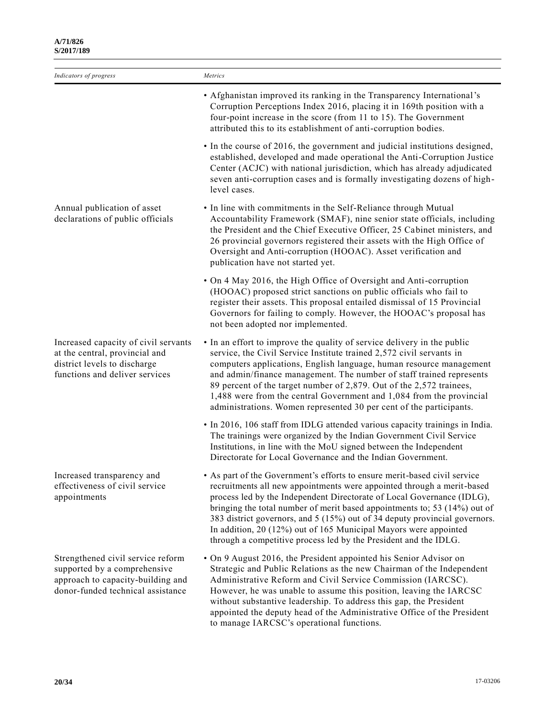| Indicators of progress                                                                                                                      | Metrics                                                                                                                                                                                                                                                                                                                                                                                                                                                                                                                          |
|---------------------------------------------------------------------------------------------------------------------------------------------|----------------------------------------------------------------------------------------------------------------------------------------------------------------------------------------------------------------------------------------------------------------------------------------------------------------------------------------------------------------------------------------------------------------------------------------------------------------------------------------------------------------------------------|
|                                                                                                                                             | • Afghanistan improved its ranking in the Transparency International's<br>Corruption Perceptions Index 2016, placing it in 169th position with a<br>four-point increase in the score (from 11 to 15). The Government<br>attributed this to its establishment of anti-corruption bodies.                                                                                                                                                                                                                                          |
|                                                                                                                                             | • In the course of 2016, the government and judicial institutions designed,<br>established, developed and made operational the Anti-Corruption Justice<br>Center (ACJC) with national jurisdiction, which has already adjudicated<br>seven anti-corruption cases and is formally investigating dozens of high-<br>level cases.                                                                                                                                                                                                   |
| Annual publication of asset<br>declarations of public officials                                                                             | • In line with commitments in the Self-Reliance through Mutual<br>Accountability Framework (SMAF), nine senior state officials, including<br>the President and the Chief Executive Officer, 25 Cabinet ministers, and<br>26 provincial governors registered their assets with the High Office of<br>Oversight and Anti-corruption (HOOAC). Asset verification and<br>publication have not started yet.                                                                                                                           |
|                                                                                                                                             | • On 4 May 2016, the High Office of Oversight and Anti-corruption<br>(HOOAC) proposed strict sanctions on public officials who fail to<br>register their assets. This proposal entailed dismissal of 15 Provincial<br>Governors for failing to comply. However, the HOOAC's proposal has<br>not been adopted nor implemented.                                                                                                                                                                                                    |
| Increased capacity of civil servants<br>at the central, provincial and<br>district levels to discharge<br>functions and deliver services    | • In an effort to improve the quality of service delivery in the public<br>service, the Civil Service Institute trained 2,572 civil servants in<br>computers applications, English language, human resource management<br>and admin/finance management. The number of staff trained represents<br>89 percent of the target number of 2,879. Out of the 2,572 trainees,<br>1,488 were from the central Government and 1,084 from the provincial<br>administrations. Women represented 30 per cent of the participants.            |
|                                                                                                                                             | · In 2016, 106 staff from IDLG attended various capacity trainings in India.<br>The trainings were organized by the Indian Government Civil Service<br>Institutions, in line with the MoU signed between the Independent<br>Directorate for Local Governance and the Indian Government.                                                                                                                                                                                                                                          |
| Increased transparency and<br>effectiveness of civil service<br>appointments                                                                | • As part of the Government's efforts to ensure merit-based civil service<br>recruitments all new appointments were appointed through a merit-based<br>process led by the Independent Directorate of Local Governance (IDLG),<br>bringing the total number of merit based appointments to; 53 (14%) out of<br>383 district governors, and 5 (15%) out of 34 deputy provincial governors.<br>In addition, 20 (12%) out of 165 Municipal Mayors were appointed<br>through a competitive process led by the President and the IDLG. |
| Strengthened civil service reform<br>supported by a comprehensive<br>approach to capacity-building and<br>donor-funded technical assistance | • On 9 August 2016, the President appointed his Senior Advisor on<br>Strategic and Public Relations as the new Chairman of the Independent<br>Administrative Reform and Civil Service Commission (IARCSC).<br>However, he was unable to assume this position, leaving the IARCSC<br>without substantive leadership. To address this gap, the President<br>appointed the deputy head of the Administrative Office of the President<br>to manage IARCSC's operational functions.                                                   |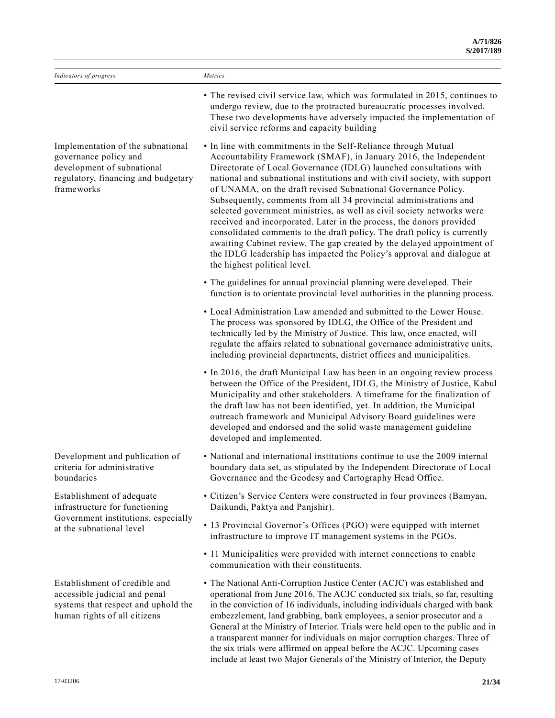| Indicators of progress                                                                                                                        | Metrics                                                                                                                                                                                                                                                                                                                                                                                                                                                                                                                                                                                                                                                                                                                                                                                                                                         |
|-----------------------------------------------------------------------------------------------------------------------------------------------|-------------------------------------------------------------------------------------------------------------------------------------------------------------------------------------------------------------------------------------------------------------------------------------------------------------------------------------------------------------------------------------------------------------------------------------------------------------------------------------------------------------------------------------------------------------------------------------------------------------------------------------------------------------------------------------------------------------------------------------------------------------------------------------------------------------------------------------------------|
|                                                                                                                                               | • The revised civil service law, which was formulated in 2015, continues to<br>undergo review, due to the protracted bureaucratic processes involved.<br>These two developments have adversely impacted the implementation of<br>civil service reforms and capacity building                                                                                                                                                                                                                                                                                                                                                                                                                                                                                                                                                                    |
| Implementation of the subnational<br>governance policy and<br>development of subnational<br>regulatory, financing and budgetary<br>frameworks | • In line with commitments in the Self-Reliance through Mutual<br>Accountability Framework (SMAF), in January 2016, the Independent<br>Directorate of Local Governance (IDLG) launched consultations with<br>national and subnational institutions and with civil society, with support<br>of UNAMA, on the draft revised Subnational Governance Policy.<br>Subsequently, comments from all 34 provincial administrations and<br>selected government ministries, as well as civil society networks were<br>received and incorporated. Later in the process, the donors provided<br>consolidated comments to the draft policy. The draft policy is currently<br>awaiting Cabinet review. The gap created by the delayed appointment of<br>the IDLG leadership has impacted the Policy's approval and dialogue at<br>the highest political level. |
|                                                                                                                                               | • The guidelines for annual provincial planning were developed. Their<br>function is to orientate provincial level authorities in the planning process.                                                                                                                                                                                                                                                                                                                                                                                                                                                                                                                                                                                                                                                                                         |
|                                                                                                                                               | • Local Administration Law amended and submitted to the Lower House.<br>The process was sponsored by IDLG, the Office of the President and<br>technically led by the Ministry of Justice. This law, once enacted, will<br>regulate the affairs related to subnational governance administrative units,<br>including provincial departments, district offices and municipalities.                                                                                                                                                                                                                                                                                                                                                                                                                                                                |
|                                                                                                                                               | • In 2016, the draft Municipal Law has been in an ongoing review process<br>between the Office of the President, IDLG, the Ministry of Justice, Kabul<br>Municipality and other stakeholders. A timeframe for the finalization of<br>the draft law has not been identified, yet. In addition, the Municipal<br>outreach framework and Municipal Advisory Board guidelines were<br>developed and endorsed and the solid waste management guideline<br>developed and implemented.                                                                                                                                                                                                                                                                                                                                                                 |
| Development and publication of<br>criteria for administrative<br>boundaries                                                                   | • National and international institutions continue to use the 2009 internal<br>boundary data set, as stipulated by the Independent Directorate of Local<br>Governance and the Geodesy and Cartography Head Office.                                                                                                                                                                                                                                                                                                                                                                                                                                                                                                                                                                                                                              |
| Establishment of adequate<br>infrastructure for functioning<br>Government institutions, especially<br>at the subnational level                | • Citizen's Service Centers were constructed in four provinces (Bamyan,<br>Daikundi, Paktya and Panjshir).                                                                                                                                                                                                                                                                                                                                                                                                                                                                                                                                                                                                                                                                                                                                      |
|                                                                                                                                               | • 13 Provincial Governor's Offices (PGO) were equipped with internet<br>infrastructure to improve IT management systems in the PGOs.                                                                                                                                                                                                                                                                                                                                                                                                                                                                                                                                                                                                                                                                                                            |
|                                                                                                                                               | • 11 Municipalities were provided with internet connections to enable<br>communication with their constituents.                                                                                                                                                                                                                                                                                                                                                                                                                                                                                                                                                                                                                                                                                                                                 |
| Establishment of credible and<br>accessible judicial and penal<br>systems that respect and uphold the<br>human rights of all citizens         | • The National Anti-Corruption Justice Center (ACJC) was established and<br>operational from June 2016. The ACJC conducted six trials, so far, resulting<br>in the conviction of 16 individuals, including individuals charged with bank<br>embezzlement, land grabbing, bank employees, a senior prosecutor and a<br>General at the Ministry of Interior. Trials were held open to the public and in<br>a transparent manner for individuals on major corruption charges. Three of<br>the six trials were affirmed on appeal before the ACJC. Upcoming cases<br>include at least two Major Generals of the Ministry of Interior, the Deputy                                                                                                                                                                                                    |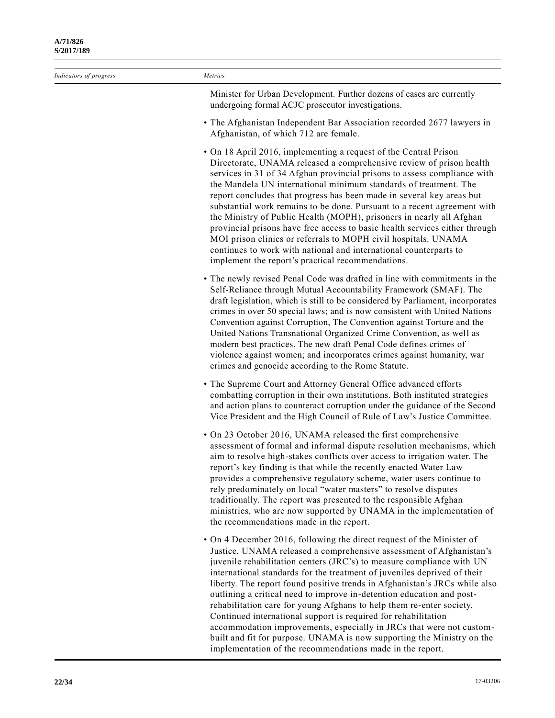| Indicators of progress | Metrics                                                                                                                                                                                                                                                                                                                                                                                                                                                                                                                                                                                                                                                                                                                                                                                                           |
|------------------------|-------------------------------------------------------------------------------------------------------------------------------------------------------------------------------------------------------------------------------------------------------------------------------------------------------------------------------------------------------------------------------------------------------------------------------------------------------------------------------------------------------------------------------------------------------------------------------------------------------------------------------------------------------------------------------------------------------------------------------------------------------------------------------------------------------------------|
|                        | Minister for Urban Development. Further dozens of cases are currently<br>undergoing formal ACJC prosecutor investigations.                                                                                                                                                                                                                                                                                                                                                                                                                                                                                                                                                                                                                                                                                        |
|                        | • The Afghanistan Independent Bar Association recorded 2677 lawyers in<br>Afghanistan, of which 712 are female.                                                                                                                                                                                                                                                                                                                                                                                                                                                                                                                                                                                                                                                                                                   |
|                        | • On 18 April 2016, implementing a request of the Central Prison<br>Directorate, UNAMA released a comprehensive review of prison health<br>services in 31 of 34 Afghan provincial prisons to assess compliance with<br>the Mandela UN international minimum standards of treatment. The<br>report concludes that progress has been made in several key areas but<br>substantial work remains to be done. Pursuant to a recent agreement with<br>the Ministry of Public Health (MOPH), prisoners in nearly all Afghan<br>provincial prisons have free access to basic health services either through<br>MOI prison clinics or referrals to MOPH civil hospitals. UNAMA<br>continues to work with national and international counterparts to<br>implement the report's practical recommendations.                   |
|                        | • The newly revised Penal Code was drafted in line with commitments in the<br>Self-Reliance through Mutual Accountability Framework (SMAF). The<br>draft legislation, which is still to be considered by Parliament, incorporates<br>crimes in over 50 special laws; and is now consistent with United Nations<br>Convention against Corruption, The Convention against Torture and the<br>United Nations Transnational Organized Crime Convention, as well as<br>modern best practices. The new draft Penal Code defines crimes of<br>violence against women; and incorporates crimes against humanity, war<br>crimes and genocide according to the Rome Statute.                                                                                                                                                |
|                        | • The Supreme Court and Attorney General Office advanced efforts<br>combatting corruption in their own institutions. Both instituted strategies<br>and action plans to counteract corruption under the guidance of the Second<br>Vice President and the High Council of Rule of Law's Justice Committee.                                                                                                                                                                                                                                                                                                                                                                                                                                                                                                          |
|                        | • On 23 October 2016, UNAMA released the first comprehensive<br>assessment of formal and informal dispute resolution mechanisms, which<br>aim to resolve high-stakes conflicts over access to irrigation water. The<br>report's key finding is that while the recently enacted Water Law<br>provides a comprehensive regulatory scheme, water users continue to<br>rely predominately on local "water masters" to resolve disputes<br>traditionally. The report was presented to the responsible Afghan<br>ministries, who are now supported by UNAMA in the implementation of<br>the recommendations made in the report.                                                                                                                                                                                         |
|                        | • On 4 December 2016, following the direct request of the Minister of<br>Justice, UNAMA released a comprehensive assessment of Afghanistan's<br>juvenile rehabilitation centers (JRC's) to measure compliance with UN<br>international standards for the treatment of juveniles deprived of their<br>liberty. The report found positive trends in Afghanistan's JRCs while also<br>outlining a critical need to improve in-detention education and post-<br>rehabilitation care for young Afghans to help them re-enter society.<br>Continued international support is required for rehabilitation<br>accommodation improvements, especially in JRCs that were not custom-<br>built and fit for purpose. UNAMA is now supporting the Ministry on the<br>implementation of the recommendations made in the report. |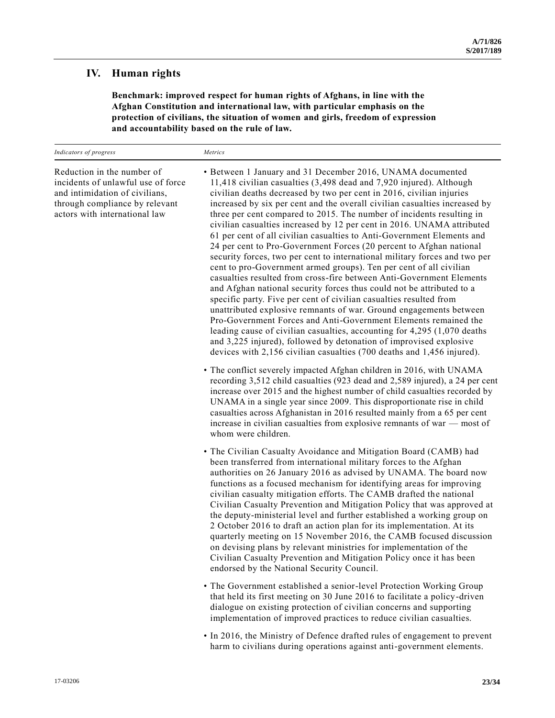### **IV. Human rights**

**Benchmark: improved respect for human rights of Afghans, in line with the Afghan Constitution and international law, with particular emphasis on the protection of civilians, the situation of women and girls, freedom of expression and accountability based on the rule of law.**

| Indicators of progress                                                                                                                                                | Metrics                                                                                                                                                                                                                                                                                                                                                                                                                                                                                                                                                                                                                                                                                                                                                                                                                                                                                                                                                                                                                                                                                                                                                                                                                                                                                                                                       |
|-----------------------------------------------------------------------------------------------------------------------------------------------------------------------|-----------------------------------------------------------------------------------------------------------------------------------------------------------------------------------------------------------------------------------------------------------------------------------------------------------------------------------------------------------------------------------------------------------------------------------------------------------------------------------------------------------------------------------------------------------------------------------------------------------------------------------------------------------------------------------------------------------------------------------------------------------------------------------------------------------------------------------------------------------------------------------------------------------------------------------------------------------------------------------------------------------------------------------------------------------------------------------------------------------------------------------------------------------------------------------------------------------------------------------------------------------------------------------------------------------------------------------------------|
| Reduction in the number of<br>incidents of unlawful use of force<br>and intimidation of civilians,<br>through compliance by relevant<br>actors with international law | • Between 1 January and 31 December 2016, UNAMA documented<br>11,418 civilian casualties (3,498 dead and 7,920 injured). Although<br>civilian deaths decreased by two per cent in 2016, civilian injuries<br>increased by six per cent and the overall civilian casualties increased by<br>three per cent compared to 2015. The number of incidents resulting in<br>civilian casualties increased by 12 per cent in 2016. UNAMA attributed<br>61 per cent of all civilian casualties to Anti-Government Elements and<br>24 per cent to Pro-Government Forces (20 percent to Afghan national<br>security forces, two per cent to international military forces and two per<br>cent to pro-Government armed groups). Ten per cent of all civilian<br>casualties resulted from cross-fire between Anti-Government Elements<br>and Afghan national security forces thus could not be attributed to a<br>specific party. Five per cent of civilian casualties resulted from<br>unattributed explosive remnants of war. Ground engagements between<br>Pro-Government Forces and Anti-Government Elements remained the<br>leading cause of civilian casualties, accounting for $4,295$ (1,070 deaths<br>and 3,225 injured), followed by detonation of improvised explosive<br>devices with 2,156 civilian casualties (700 deaths and 1,456 injured). |
|                                                                                                                                                                       | • The conflict severely impacted Afghan children in 2016, with UNAMA<br>recording 3,512 child casualties (923 dead and 2,589 injured), a 24 per cent<br>increase over 2015 and the highest number of child casualties recorded by<br>UNAMA in a single year since 2009. This disproportionate rise in child<br>casualties across Afghanistan in 2016 resulted mainly from a 65 per cent<br>increase in civilian casualties from explosive remnants of war - most of<br>whom were children.                                                                                                                                                                                                                                                                                                                                                                                                                                                                                                                                                                                                                                                                                                                                                                                                                                                    |
|                                                                                                                                                                       | • The Civilian Casualty Avoidance and Mitigation Board (CAMB) had<br>been transferred from international military forces to the Afghan<br>authorities on 26 January 2016 as advised by UNAMA. The board now<br>functions as a focused mechanism for identifying areas for improving<br>civilian casualty mitigation efforts. The CAMB drafted the national<br>Civilian Casualty Prevention and Mitigation Policy that was approved at<br>the deputy-ministerial level and further established a working group on<br>2 October 2016 to draft an action plan for its implementation. At its<br>quarterly meeting on 15 November 2016, the CAMB focused discussion<br>on devising plans by relevant ministries for implementation of the<br>Civilian Casualty Prevention and Mitigation Policy once it has been<br>endorsed by the National Security Council.                                                                                                                                                                                                                                                                                                                                                                                                                                                                                    |
|                                                                                                                                                                       | • The Government established a senior-level Protection Working Group<br>that held its first meeting on 30 June 2016 to facilitate a policy-driven<br>dialogue on existing protection of civilian concerns and supporting<br>implementation of improved practices to reduce civilian casualties.                                                                                                                                                                                                                                                                                                                                                                                                                                                                                                                                                                                                                                                                                                                                                                                                                                                                                                                                                                                                                                               |
|                                                                                                                                                                       | • In 2016, the Ministry of Defence drafted rules of engagement to prevent                                                                                                                                                                                                                                                                                                                                                                                                                                                                                                                                                                                                                                                                                                                                                                                                                                                                                                                                                                                                                                                                                                                                                                                                                                                                     |

harm to civilians during operations against anti-government elements.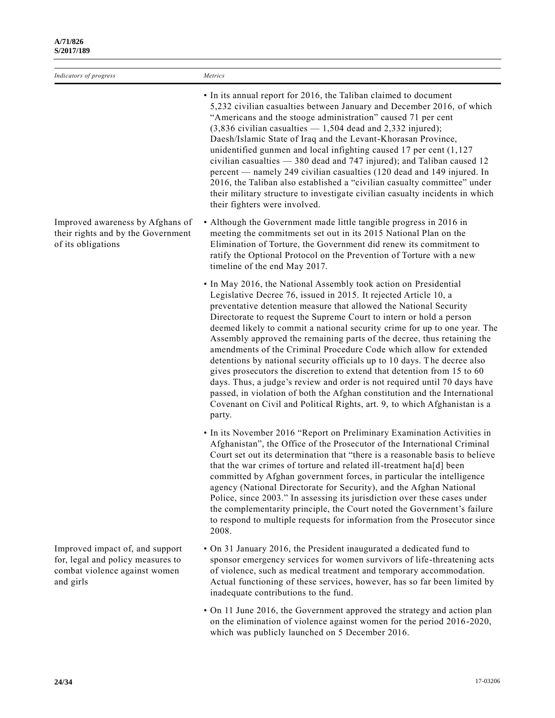| Indicators of progress                                                                                             | Metrics                                                                                                                                                                                                                                                                                                                                                                                                                                                                                                                                                                                                                                                                                                                                                                                                                                                                                                                 |
|--------------------------------------------------------------------------------------------------------------------|-------------------------------------------------------------------------------------------------------------------------------------------------------------------------------------------------------------------------------------------------------------------------------------------------------------------------------------------------------------------------------------------------------------------------------------------------------------------------------------------------------------------------------------------------------------------------------------------------------------------------------------------------------------------------------------------------------------------------------------------------------------------------------------------------------------------------------------------------------------------------------------------------------------------------|
|                                                                                                                    | • In its annual report for 2016, the Taliban claimed to document<br>5,232 civilian casualties between January and December 2016, of which<br>"Americans and the stooge administration" caused 71 per cent<br>$(3,836$ civilian casualties $-1,504$ dead and 2,332 injured);<br>Daesh/Islamic State of Iraq and the Levant-Khorasan Province,<br>unidentified gunmen and local infighting caused 17 per cent $(1, 127)$<br>civilian casualties - 380 dead and 747 injured); and Taliban caused 12<br>percent — namely 249 civilian casualties (120 dead and 149 injured. In<br>2016, the Taliban also established a "civilian casualty committee" under<br>their military structure to investigate civilian casualty incidents in which<br>their fighters were involved.                                                                                                                                                 |
| Improved awareness by Afghans of<br>their rights and by the Government<br>of its obligations                       | • Although the Government made little tangible progress in 2016 in<br>meeting the commitments set out in its 2015 National Plan on the<br>Elimination of Torture, the Government did renew its commitment to<br>ratify the Optional Protocol on the Prevention of Torture with a new<br>timeline of the end May 2017.                                                                                                                                                                                                                                                                                                                                                                                                                                                                                                                                                                                                   |
|                                                                                                                    | • In May 2016, the National Assembly took action on Presidential<br>Legislative Decree 76, issued in 2015. It rejected Article 10, a<br>preventative detention measure that allowed the National Security<br>Directorate to request the Supreme Court to intern or hold a person<br>deemed likely to commit a national security crime for up to one year. The<br>Assembly approved the remaining parts of the decree, thus retaining the<br>amendments of the Criminal Procedure Code which allow for extended<br>detentions by national security officials up to 10 days. The decree also<br>gives prosecutors the discretion to extend that detention from 15 to 60<br>days. Thus, a judge's review and order is not required until 70 days have<br>passed, in violation of both the Afghan constitution and the International<br>Covenant on Civil and Political Rights, art. 9, to which Afghanistan is a<br>party. |
|                                                                                                                    | • In its November 2016 "Report on Preliminary Examination Activities in<br>Afghanistan", the Office of the Prosecutor of the International Criminal<br>Court set out its determination that "there is a reasonable basis to believe<br>that the war crimes of torture and related ill-treatment hald been<br>committed by Afghan government forces, in particular the intelligence<br>agency (National Directorate for Security), and the Afghan National<br>Police, since 2003." In assessing its jurisdiction over these cases under<br>the complementarity principle, the Court noted the Government's failure<br>to respond to multiple requests for information from the Prosecutor since<br>2008.                                                                                                                                                                                                                 |
| Improved impact of, and support<br>for, legal and policy measures to<br>combat violence against women<br>and girls | • On 31 January 2016, the President inaugurated a dedicated fund to<br>sponsor emergency services for women survivors of life-threatening acts<br>of violence, such as medical treatment and temporary accommodation.<br>Actual functioning of these services, however, has so far been limited by<br>inadequate contributions to the fund.                                                                                                                                                                                                                                                                                                                                                                                                                                                                                                                                                                             |

• On 11 June 2016, the Government approved the strategy and action plan on the elimination of violence against women for the period 2016-2020, which was publicly launched on 5 December 2016.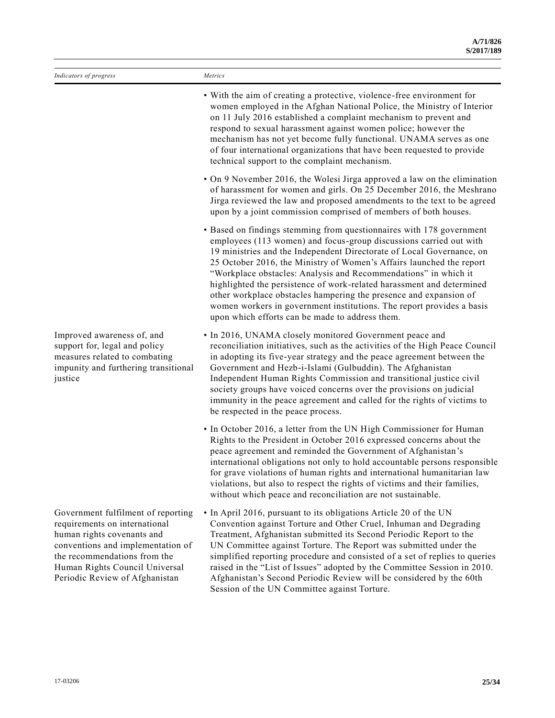| Indicators of progress                                                                                                                                                                                                                     | Metrics                                                                                                                                                                                                                                                                                                                                                                                                                                                                                                                                                                                                                                  |
|--------------------------------------------------------------------------------------------------------------------------------------------------------------------------------------------------------------------------------------------|------------------------------------------------------------------------------------------------------------------------------------------------------------------------------------------------------------------------------------------------------------------------------------------------------------------------------------------------------------------------------------------------------------------------------------------------------------------------------------------------------------------------------------------------------------------------------------------------------------------------------------------|
|                                                                                                                                                                                                                                            | • With the aim of creating a protective, violence-free environment for<br>women employed in the Afghan National Police, the Ministry of Interior<br>on 11 July 2016 established a complaint mechanism to prevent and<br>respond to sexual harassment against women police; however the<br>mechanism has not yet become fully functional. UNAMA serves as one<br>of four international organizations that have been requested to provide<br>technical support to the complaint mechanism.                                                                                                                                                 |
|                                                                                                                                                                                                                                            | • On 9 November 2016, the Wolesi Jirga approved a law on the elimination<br>of harassment for women and girls. On 25 December 2016, the Meshrano<br>Jirga reviewed the law and proposed amendments to the text to be agreed<br>upon by a joint commission comprised of members of both houses.                                                                                                                                                                                                                                                                                                                                           |
|                                                                                                                                                                                                                                            | • Based on findings stemming from questionnaires with 178 government<br>employees (113 women) and focus-group discussions carried out with<br>19 ministries and the Independent Directorate of Local Governance, on<br>25 October 2016, the Ministry of Women's Affairs launched the report<br>"Workplace obstacles: Analysis and Recommendations" in which it<br>highlighted the persistence of work-related harassment and determined<br>other workplace obstacles hampering the presence and expansion of<br>women workers in government institutions. The report provides a basis<br>upon which efforts can be made to address them. |
| Improved awareness of, and<br>support for, legal and policy<br>measures related to combating<br>impunity and furthering transitional<br>justice                                                                                            | • In 2016, UNAMA closely monitored Government peace and<br>reconciliation initiatives, such as the activities of the High Peace Council<br>in adopting its five-year strategy and the peace agreement between the<br>Government and Hezb-i-Islami (Gulbuddin). The Afghanistan<br>Independent Human Rights Commission and transitional justice civil<br>society groups have voiced concerns over the provisions on judicial<br>immunity in the peace agreement and called for the rights of victims to<br>be respected in the peace process.                                                                                             |
|                                                                                                                                                                                                                                            | • In October 2016, a letter from the UN High Commissioner for Human<br>Rights to the President in October 2016 expressed concerns about the<br>peace agreement and reminded the Government of Afghanistan's<br>international obligations not only to hold accountable persons responsible<br>for grave violations of human rights and international humanitarian law<br>violations, but also to respect the rights of victims and their families,<br>without which peace and reconciliation are not sustainable.                                                                                                                         |
| Government fulfilment of reporting<br>requirements on international<br>human rights covenants and<br>conventions and implementation of<br>the recommendations from the<br>Human Rights Council Universal<br>Periodic Review of Afghanistan | • In April 2016, pursuant to its obligations Article 20 of the UN<br>Convention against Torture and Other Cruel, Inhuman and Degrading<br>Treatment, Afghanistan submitted its Second Periodic Report to the<br>UN Committee against Torture. The Report was submitted under the<br>simplified reporting procedure and consisted of a set of replies to queries<br>raised in the "List of Issues" adopted by the Committee Session in 2010.<br>Afghanistan's Second Periodic Review will be considered by the 60th<br>Session of the UN Committee against Torture.                                                                       |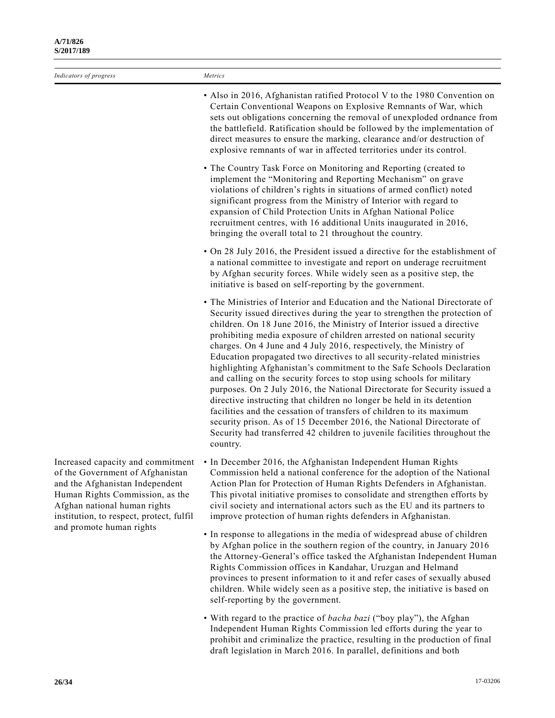| Indicators of progress                                                                                                                                                                                                                              | Metrics                                                                                                                                                                                                                                                                                                                                                                                                                                                                                                                                                                                                                                                                                                                                                                                                                                                                                                                                                                                                     |
|-----------------------------------------------------------------------------------------------------------------------------------------------------------------------------------------------------------------------------------------------------|-------------------------------------------------------------------------------------------------------------------------------------------------------------------------------------------------------------------------------------------------------------------------------------------------------------------------------------------------------------------------------------------------------------------------------------------------------------------------------------------------------------------------------------------------------------------------------------------------------------------------------------------------------------------------------------------------------------------------------------------------------------------------------------------------------------------------------------------------------------------------------------------------------------------------------------------------------------------------------------------------------------|
|                                                                                                                                                                                                                                                     | • Also in 2016, Afghanistan ratified Protocol V to the 1980 Convention on<br>Certain Conventional Weapons on Explosive Remnants of War, which<br>sets out obligations concerning the removal of unexploded ordnance from<br>the battlefield. Ratification should be followed by the implementation of<br>direct measures to ensure the marking, clearance and/or destruction of<br>explosive remnants of war in affected territories under its control.                                                                                                                                                                                                                                                                                                                                                                                                                                                                                                                                                     |
|                                                                                                                                                                                                                                                     | • The Country Task Force on Monitoring and Reporting (created to<br>implement the "Monitoring and Reporting Mechanism" on grave<br>violations of children's rights in situations of armed conflict) noted<br>significant progress from the Ministry of Interior with regard to<br>expansion of Child Protection Units in Afghan National Police<br>recruitment centres, with 16 additional Units inaugurated in 2016,<br>bringing the overall total to 21 throughout the country.                                                                                                                                                                                                                                                                                                                                                                                                                                                                                                                           |
|                                                                                                                                                                                                                                                     | • On 28 July 2016, the President issued a directive for the establishment of<br>a national committee to investigate and report on underage recruitment<br>by Afghan security forces. While widely seen as a positive step, the<br>initiative is based on self-reporting by the government.                                                                                                                                                                                                                                                                                                                                                                                                                                                                                                                                                                                                                                                                                                                  |
|                                                                                                                                                                                                                                                     | • The Ministries of Interior and Education and the National Directorate of<br>Security issued directives during the year to strengthen the protection of<br>children. On 18 June 2016, the Ministry of Interior issued a directive<br>prohibiting media exposure of children arrested on national security<br>charges. On 4 June and 4 July 2016, respectively, the Ministry of<br>Education propagated two directives to all security-related ministries<br>highlighting Afghanistan's commitment to the Safe Schools Declaration<br>and calling on the security forces to stop using schools for military<br>purposes. On 2 July 2016, the National Directorate for Security issued a<br>directive instructing that children no longer be held in its detention<br>facilities and the cessation of transfers of children to its maximum<br>security prison. As of 15 December 2016, the National Directorate of<br>Security had transferred 42 children to juvenile facilities throughout the<br>country. |
| Increased capacity and commitment<br>of the Government of Afghanistan<br>and the Afghanistan Independent<br>Human Rights Commission, as the<br>Afghan national human rights<br>institution, to respect, protect, fulfil<br>$\sim$ 1 $\sim$ 1 $\sim$ | • In December 2016, the Afghanistan Independent Human Rights<br>Commission held a national conference for the adoption of the National<br>Action Plan for Protection of Human Rights Defenders in Afghanistan.<br>This pivotal initiative promises to consolidate and strengthen efforts by<br>civil society and international actors such as the EU and its partners to<br>improve protection of human rights defenders in Afghanistan.                                                                                                                                                                                                                                                                                                                                                                                                                                                                                                                                                                    |

- In response to allegations in the media of widespread abuse of children by Afghan police in the southern region of the country, in January 2016 the Attorney-General's office tasked the Afghanistan Independent Human Rights Commission offices in Kandahar, Uruzgan and Helmand provinces to present information to it and refer cases of sexually abused children. While widely seen as a positive step, the initiative is based on self-reporting by the government.
- With regard to the practice of *bacha bazi* ("boy play"), the Afghan Independent Human Rights Commission led efforts during the year to prohibit and criminalize the practice, resulting in the production of final draft legislation in March 2016. In parallel, definitions and both

of the Government of Afghanistan and the Afghanistan Independent Human Rights Commission, as the Afghan national human rights institution, to respect, protect, fulfil and promote human rights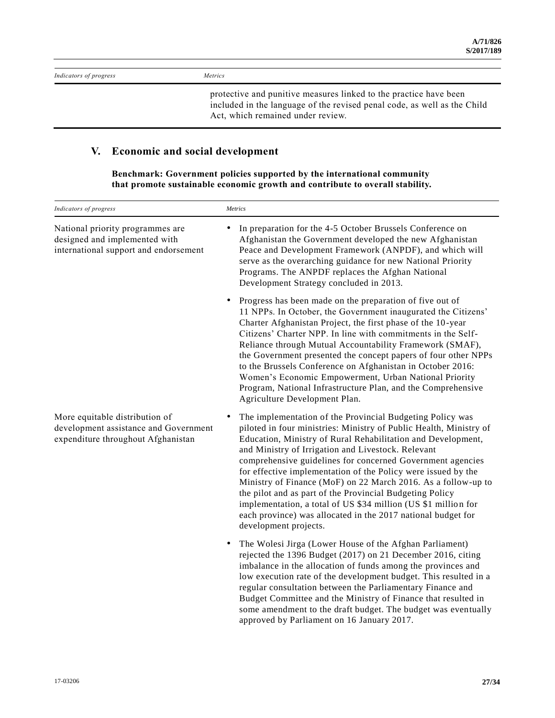| Indicators of progress | <i>Metrics</i>                                                    |
|------------------------|-------------------------------------------------------------------|
|                        | protective and punitive measures linked to the practice have been |

included in the language of the revised penal code, as well as the Child Act, which remained under review.

some amendment to the draft budget. The budget was eventually

approved by Parliament on 16 January 2017.

## **V. Economic and social development**

**Benchmark: Government policies supported by the international community that promote sustainable economic growth and contribute to overall stability.**

| Indicators of progress                                                                                        | Metrics                                                                                                                                                                                                                                                                                                                                                                                                                                                                                                                                                                                                                                                                      |
|---------------------------------------------------------------------------------------------------------------|------------------------------------------------------------------------------------------------------------------------------------------------------------------------------------------------------------------------------------------------------------------------------------------------------------------------------------------------------------------------------------------------------------------------------------------------------------------------------------------------------------------------------------------------------------------------------------------------------------------------------------------------------------------------------|
| National priority programmes are<br>designed and implemented with<br>international support and endorsement    | In preparation for the 4-5 October Brussels Conference on<br>Afghanistan the Government developed the new Afghanistan<br>Peace and Development Framework (ANPDF), and which will<br>serve as the overarching guidance for new National Priority<br>Programs. The ANPDF replaces the Afghan National<br>Development Strategy concluded in 2013.                                                                                                                                                                                                                                                                                                                               |
|                                                                                                               | Progress has been made on the preparation of five out of<br>٠<br>11 NPPs. In October, the Government inaugurated the Citizens'<br>Charter Afghanistan Project, the first phase of the 10-year<br>Citizens' Charter NPP. In line with commitments in the Self-<br>Reliance through Mutual Accountability Framework (SMAF),<br>the Government presented the concept papers of four other NPPs<br>to the Brussels Conference on Afghanistan in October 2016:<br>Women's Economic Empowerment, Urban National Priority<br>Program, National Infrastructure Plan, and the Comprehensive<br>Agriculture Development Plan.                                                          |
| More equitable distribution of<br>development assistance and Government<br>expenditure throughout Afghanistan | The implementation of the Provincial Budgeting Policy was<br>piloted in four ministries: Ministry of Public Health, Ministry of<br>Education, Ministry of Rural Rehabilitation and Development,<br>and Ministry of Irrigation and Livestock. Relevant<br>comprehensive guidelines for concerned Government agencies<br>for effective implementation of the Policy were issued by the<br>Ministry of Finance (MoF) on 22 March 2016. As a follow-up to<br>the pilot and as part of the Provincial Budgeting Policy<br>implementation, a total of US \$34 million (US \$1 million for<br>each province) was allocated in the 2017 national budget for<br>development projects. |
|                                                                                                               | The Wolesi Jirga (Lower House of the Afghan Parliament)<br>٠<br>rejected the 1396 Budget (2017) on 21 December 2016, citing<br>imbalance in the allocation of funds among the provinces and<br>low execution rate of the development budget. This resulted in a<br>regular consultation between the Parliamentary Finance and<br>Budget Committee and the Ministry of Finance that resulted in                                                                                                                                                                                                                                                                               |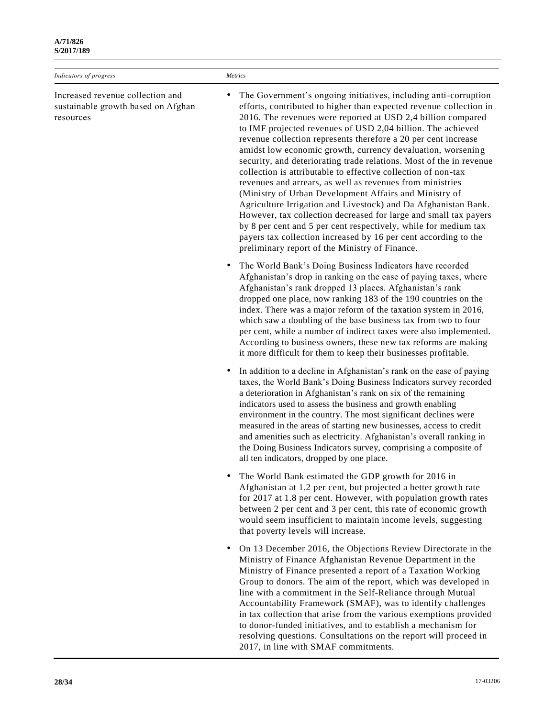| Indicators of progress                                                              | Metrics                                                                                                                                                                                                                                                                                                                                                                                                                                                                                                                                                                                                                                                                                                                                                                                                                                                                                                                                                                                                 |
|-------------------------------------------------------------------------------------|---------------------------------------------------------------------------------------------------------------------------------------------------------------------------------------------------------------------------------------------------------------------------------------------------------------------------------------------------------------------------------------------------------------------------------------------------------------------------------------------------------------------------------------------------------------------------------------------------------------------------------------------------------------------------------------------------------------------------------------------------------------------------------------------------------------------------------------------------------------------------------------------------------------------------------------------------------------------------------------------------------|
| Increased revenue collection and<br>sustainable growth based on Afghan<br>resources | The Government's ongoing initiatives, including anti-corruption<br>٠<br>efforts, contributed to higher than expected revenue collection in<br>2016. The revenues were reported at USD 2,4 billion compared<br>to IMF projected revenues of USD 2,04 billion. The achieved<br>revenue collection represents therefore a 20 per cent increase<br>amidst low economic growth, currency devaluation, worsening<br>security, and deteriorating trade relations. Most of the in revenue<br>collection is attributable to effective collection of non-tax<br>revenues and arrears, as well as revenues from ministries<br>(Ministry of Urban Development Affairs and Ministry of<br>Agriculture Irrigation and Livestock) and Da Afghanistan Bank.<br>However, tax collection decreased for large and small tax payers<br>by 8 per cent and 5 per cent respectively, while for medium tax<br>payers tax collection increased by 16 per cent according to the<br>preliminary report of the Ministry of Finance. |
|                                                                                     | The World Bank's Doing Business Indicators have recorded<br>Afghanistan's drop in ranking on the ease of paying taxes, where<br>Afghanistan's rank dropped 13 places. Afghanistan's rank<br>dropped one place, now ranking 183 of the 190 countries on the<br>index. There was a major reform of the taxation system in 2016,<br>which saw a doubling of the base business tax from two to four<br>per cent, while a number of indirect taxes were also implemented.<br>According to business owners, these new tax reforms are making<br>it more difficult for them to keep their businesses profitable.                                                                                                                                                                                                                                                                                                                                                                                               |
|                                                                                     | In addition to a decline in Afghanistan's rank on the ease of paying<br>$\bullet$<br>taxes, the World Bank's Doing Business Indicators survey recorded<br>a deterioration in Afghanistan's rank on six of the remaining<br>indicators used to assess the business and growth enabling<br>environment in the country. The most significant declines were<br>measured in the areas of starting new businesses, access to credit<br>and amenities such as electricity. Afghanistan's overall ranking in<br>the Doing Business Indicators survey, comprising a composite of<br>all ten indicators, dropped by one place.                                                                                                                                                                                                                                                                                                                                                                                    |
|                                                                                     | The World Bank estimated the GDP growth for 2016 in<br>Afghanistan at 1.2 per cent, but projected a better growth rate<br>for 2017 at 1.8 per cent. However, with population growth rates<br>between 2 per cent and 3 per cent, this rate of economic growth<br>would seem insufficient to maintain income levels, suggesting<br>that poverty levels will increase.                                                                                                                                                                                                                                                                                                                                                                                                                                                                                                                                                                                                                                     |
|                                                                                     | On 13 December 2016, the Objections Review Directorate in the<br>$\bullet$<br>Ministry of Finance Afghanistan Revenue Department in the<br>Ministry of Finance presented a report of a Taxation Working<br>Group to donors. The aim of the report, which was developed in<br>line with a commitment in the Self-Reliance through Mutual<br>Accountability Framework (SMAF), was to identify challenges<br>in tax collection that arise from the various exemptions provided<br>to donor-funded initiatives, and to establish a mechanism for<br>resolving questions. Consultations on the report will proceed in                                                                                                                                                                                                                                                                                                                                                                                        |

2017, in line with SMAF commitments.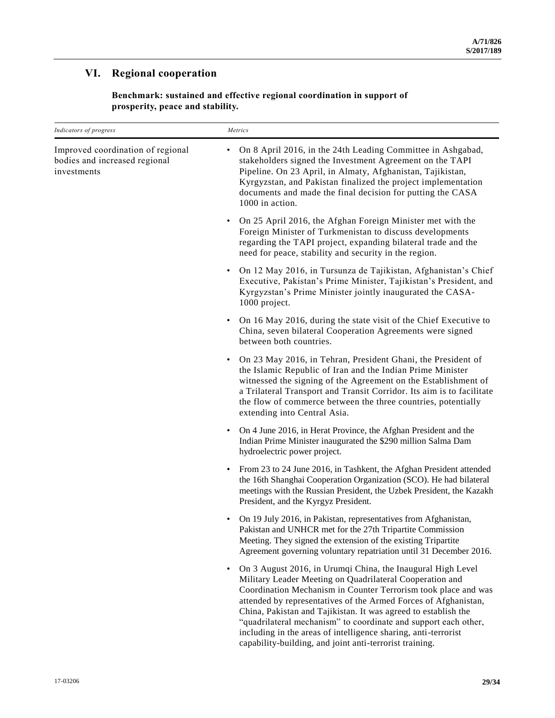## **VI. Regional cooperation**

**Benchmark: sustained and effective regional coordination in support of prosperity, peace and stability.**

| Indicators of progress                                                            | Metrics                                                                                                                                                                                                                                                                                                                                                                                                                                                             |
|-----------------------------------------------------------------------------------|---------------------------------------------------------------------------------------------------------------------------------------------------------------------------------------------------------------------------------------------------------------------------------------------------------------------------------------------------------------------------------------------------------------------------------------------------------------------|
| Improved coordination of regional<br>bodies and increased regional<br>investments | On 8 April 2016, in the 24th Leading Committee in Ashgabad,<br>stakeholders signed the Investment Agreement on the TAPI<br>Pipeline. On 23 April, in Almaty, Afghanistan, Tajikistan,<br>Kyrgyzstan, and Pakistan finalized the project implementation<br>documents and made the final decision for putting the CASA<br>1000 in action.                                                                                                                             |
|                                                                                   | On 25 April 2016, the Afghan Foreign Minister met with the<br>$\bullet$<br>Foreign Minister of Turkmenistan to discuss developments<br>regarding the TAPI project, expanding bilateral trade and the<br>need for peace, stability and security in the region.                                                                                                                                                                                                       |
|                                                                                   | On 12 May 2016, in Tursunza de Tajikistan, Afghanistan's Chief<br>Executive, Pakistan's Prime Minister, Tajikistan's President, and<br>Kyrgyzstan's Prime Minister jointly inaugurated the CASA-<br>1000 project.                                                                                                                                                                                                                                                   |
|                                                                                   | On 16 May 2016, during the state visit of the Chief Executive to<br>China, seven bilateral Cooperation Agreements were signed<br>between both countries.                                                                                                                                                                                                                                                                                                            |
|                                                                                   | On 23 May 2016, in Tehran, President Ghani, the President of<br>the Islamic Republic of Iran and the Indian Prime Minister<br>witnessed the signing of the Agreement on the Establishment of<br>a Trilateral Transport and Transit Corridor. Its aim is to facilitate<br>the flow of commerce between the three countries, potentially<br>extending into Central Asia.                                                                                              |
|                                                                                   | On 4 June 2016, in Herat Province, the Afghan President and the<br>٠<br>Indian Prime Minister inaugurated the \$290 million Salma Dam<br>hydroelectric power project.                                                                                                                                                                                                                                                                                               |
|                                                                                   | From 23 to 24 June 2016, in Tashkent, the Afghan President attended<br>٠<br>the 16th Shanghai Cooperation Organization (SCO). He had bilateral<br>meetings with the Russian President, the Uzbek President, the Kazakh<br>President, and the Kyrgyz President.                                                                                                                                                                                                      |
|                                                                                   | On 19 July 2016, in Pakistan, representatives from Afghanistan,<br>٠<br>Pakistan and UNHCR met for the 27th Tripartite Commission<br>Meeting. They signed the extension of the existing Tripartite<br>Agreement governing voluntary repatriation until 31 December 2016.                                                                                                                                                                                            |
|                                                                                   | On 3 August 2016, in Urumqi China, the Inaugural High Level<br>Military Leader Meeting on Quadrilateral Cooperation and<br>Coordination Mechanism in Counter Terrorism took place and was<br>attended by representatives of the Armed Forces of Afghanistan,<br>China, Pakistan and Tajikistan. It was agreed to establish the<br>"quadrilateral mechanism" to coordinate and support each other,<br>including in the areas of intelligence sharing, anti-terrorist |

capability-building, and joint anti-terrorist training.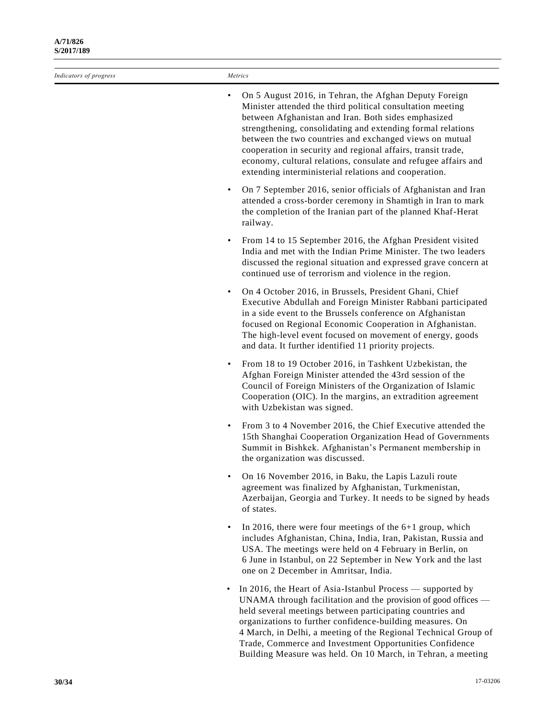*Indicators of progress Metrics*

- On 5 August 2016, in Tehran, the Afghan Deputy Foreign Minister attended the third political consultation meeting between Afghanistan and Iran. Both sides emphasized strengthening, consolidating and extending formal relations between the two countries and exchanged views on mutual cooperation in security and regional affairs, transit trade, economy, cultural relations, consulate and refugee affairs and extending interministerial relations and cooperation.
- On 7 September 2016, senior officials of Afghanistan and Iran attended a cross-border ceremony in Shamtigh in Iran to mark the completion of the Iranian part of the planned Khaf-Herat railway.
- From 14 to 15 September 2016, the Afghan President visited India and met with the Indian Prime Minister. The two leaders discussed the regional situation and expressed grave concern at continued use of terrorism and violence in the region.
- On 4 October 2016, in Brussels, President Ghani, Chief Executive Abdullah and Foreign Minister Rabbani participated in a side event to the Brussels conference on Afghanistan focused on Regional Economic Cooperation in Afghanistan. The high-level event focused on movement of energy, goods and data. It further identified 11 priority projects.
- From 18 to 19 October 2016, in Tashkent Uzbekistan, the Afghan Foreign Minister attended the 43rd session of the Council of Foreign Ministers of the Organization of Islamic Cooperation (OIC). In the margins, an extradition agreement with Uzbekistan was signed.
- From 3 to 4 November 2016, the Chief Executive attended the 15th Shanghai Cooperation Organization Head of Governments Summit in Bishkek. Afghanistan's Permanent membership in the organization was discussed.
- On 16 November 2016, in Baku, the Lapis Lazuli route agreement was finalized by Afghanistan, Turkmenistan, Azerbaijan, Georgia and Turkey. It needs to be signed by heads of states.
- In 2016, there were four meetings of the  $6+1$  group, which includes Afghanistan, China, India, Iran, Pakistan, Russia and USA. The meetings were held on 4 February in Berlin, on 6 June in Istanbul, on 22 September in New York and the last one on 2 December in Amritsar, India.
- In 2016, the Heart of Asia-Istanbul Process supported by UNAMA through facilitation and the provision of good offices held several meetings between participating countries and organizations to further confidence-building measures. On 4 March, in Delhi, a meeting of the Regional Technical Group of Trade, Commerce and Investment Opportunities Confidence Building Measure was held. On 10 March, in Tehran, a meeting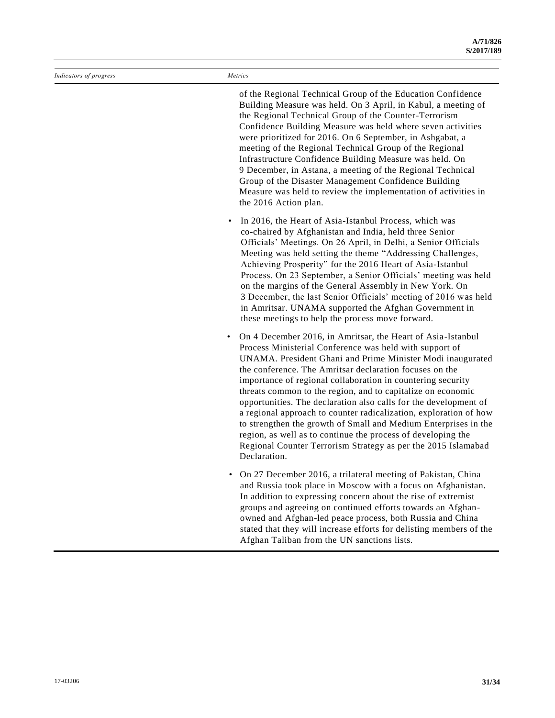| Indicators of progress | Metrics                                                                                                                                                                                                                                                                                                                                                                                                                                                                                                                                                                                                                                                                                                                                                 |
|------------------------|---------------------------------------------------------------------------------------------------------------------------------------------------------------------------------------------------------------------------------------------------------------------------------------------------------------------------------------------------------------------------------------------------------------------------------------------------------------------------------------------------------------------------------------------------------------------------------------------------------------------------------------------------------------------------------------------------------------------------------------------------------|
|                        | of the Regional Technical Group of the Education Confidence<br>Building Measure was held. On 3 April, in Kabul, a meeting of<br>the Regional Technical Group of the Counter-Terrorism<br>Confidence Building Measure was held where seven activities<br>were prioritized for 2016. On 6 September, in Ashgabat, a<br>meeting of the Regional Technical Group of the Regional<br>Infrastructure Confidence Building Measure was held. On<br>9 December, in Astana, a meeting of the Regional Technical<br>Group of the Disaster Management Confidence Building<br>Measure was held to review the implementation of activities in<br>the 2016 Action plan.                                                                                                |
|                        | In 2016, the Heart of Asia-Istanbul Process, which was<br>co-chaired by Afghanistan and India, held three Senior<br>Officials' Meetings. On 26 April, in Delhi, a Senior Officials<br>Meeting was held setting the theme "Addressing Challenges,<br>Achieving Prosperity" for the 2016 Heart of Asia-Istanbul<br>Process. On 23 September, a Senior Officials' meeting was held<br>on the margins of the General Assembly in New York. On<br>3 December, the last Senior Officials' meeting of 2016 was held<br>in Amritsar. UNAMA supported the Afghan Government in<br>these meetings to help the process move forward.                                                                                                                               |
|                        | On 4 December 2016, in Amritsar, the Heart of Asia-Istanbul<br>$\bullet$<br>Process Ministerial Conference was held with support of<br>UNAMA. President Ghani and Prime Minister Modi inaugurated<br>the conference. The Amritsar declaration focuses on the<br>importance of regional collaboration in countering security<br>threats common to the region, and to capitalize on economic<br>opportunities. The declaration also calls for the development of<br>a regional approach to counter radicalization, exploration of how<br>to strengthen the growth of Small and Medium Enterprises in the<br>region, as well as to continue the process of developing the<br>Regional Counter Terrorism Strategy as per the 2015 Islamabad<br>Declaration. |
|                        | On 27 December 2016, a trilateral meeting of Pakistan, China<br>and Russia took place in Moscow with a focus on Afghanistan.<br>In addition to expressing concern about the rise of extremist<br>groups and agreeing on continued efforts towards an Afghan-<br>most and African lad neers nowered both Director and China                                                                                                                                                                                                                                                                                                                                                                                                                              |

owned and Afghan-led peace process, both Russia and China stated that they will increase efforts for delisting members of the Afghan Taliban from the UN sanctions lists.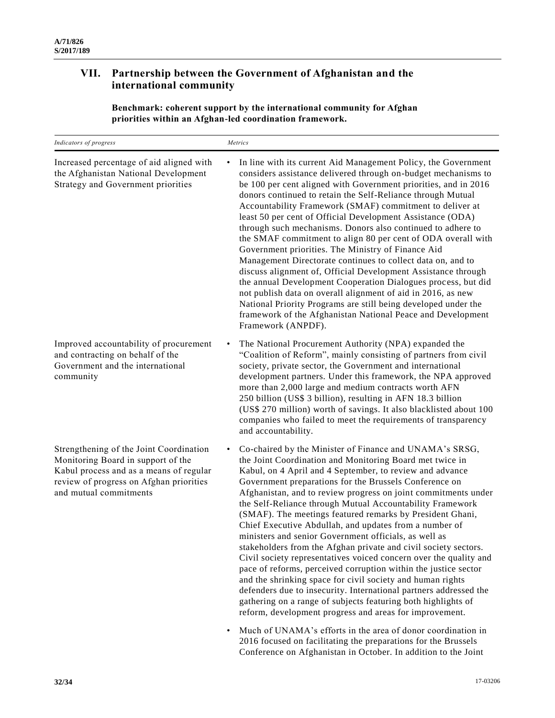## **VII. Partnership between the Government of Afghanistan and the international community**

**Benchmark: coherent support by the international community for Afghan priorities within an Afghan-led coordination framework.**

| Indicators of progress                                                                                                                                                                        | Metrics                                                                                                                                                                                                                                                                                                                                                                                                                                                                                                                                                                                                                                                                                                                                                                                                                                                                                                                                                                                                                                                                                                                                                                                        |
|-----------------------------------------------------------------------------------------------------------------------------------------------------------------------------------------------|------------------------------------------------------------------------------------------------------------------------------------------------------------------------------------------------------------------------------------------------------------------------------------------------------------------------------------------------------------------------------------------------------------------------------------------------------------------------------------------------------------------------------------------------------------------------------------------------------------------------------------------------------------------------------------------------------------------------------------------------------------------------------------------------------------------------------------------------------------------------------------------------------------------------------------------------------------------------------------------------------------------------------------------------------------------------------------------------------------------------------------------------------------------------------------------------|
| Increased percentage of aid aligned with<br>the Afghanistan National Development<br>Strategy and Government priorities                                                                        | In line with its current Aid Management Policy, the Government<br>$\bullet$<br>considers assistance delivered through on-budget mechanisms to<br>be 100 per cent aligned with Government priorities, and in 2016<br>donors continued to retain the Self-Reliance through Mutual<br>Accountability Framework (SMAF) commitment to deliver at<br>least 50 per cent of Official Development Assistance (ODA)<br>through such mechanisms. Donors also continued to adhere to<br>the SMAF commitment to align 80 per cent of ODA overall with<br>Government priorities. The Ministry of Finance Aid<br>Management Directorate continues to collect data on, and to<br>discuss alignment of, Official Development Assistance through<br>the annual Development Cooperation Dialogues process, but did<br>not publish data on overall alignment of aid in 2016, as new<br>National Priority Programs are still being developed under the<br>framework of the Afghanistan National Peace and Development<br>Framework (ANPDF).                                                                                                                                                                         |
| Improved accountability of procurement<br>and contracting on behalf of the<br>Government and the international<br>community                                                                   | The National Procurement Authority (NPA) expanded the<br>$\bullet$<br>"Coalition of Reform", mainly consisting of partners from civil<br>society, private sector, the Government and international<br>development partners. Under this framework, the NPA approved<br>more than 2,000 large and medium contracts worth AFN<br>250 billion (US\$ 3 billion), resulting in AFN 18.3 billion<br>(US\$ 270 million) worth of savings. It also blacklisted about 100<br>companies who failed to meet the requirements of transparency<br>and accountability.                                                                                                                                                                                                                                                                                                                                                                                                                                                                                                                                                                                                                                        |
| Strengthening of the Joint Coordination<br>Monitoring Board in support of the<br>Kabul process and as a means of regular<br>review of progress on Afghan priorities<br>and mutual commitments | Co-chaired by the Minister of Finance and UNAMA's SRSG,<br>$\bullet$<br>the Joint Coordination and Monitoring Board met twice in<br>Kabul, on 4 April and 4 September, to review and advance<br>Government preparations for the Brussels Conference on<br>Afghanistan, and to review progress on joint commitments under<br>the Self-Reliance through Mutual Accountability Framework<br>(SMAF). The meetings featured remarks by President Ghani,<br>Chief Executive Abdullah, and updates from a number of<br>ministers and senior Government officials, as well as<br>stakeholders from the Afghan private and civil society sectors.<br>Civil society representatives voiced concern over the quality and<br>pace of reforms, perceived corruption within the justice sector<br>and the shrinking space for civil society and human rights<br>defenders due to insecurity. International partners addressed the<br>gathering on a range of subjects featuring both highlights of<br>reform, development progress and areas for improvement.<br>Much of UNAMA's efforts in the area of donor coordination in<br>$\bullet$<br>2016 focused on facilitating the preparations for the Brussels |

Conference on Afghanistan in October. In addition to the Joint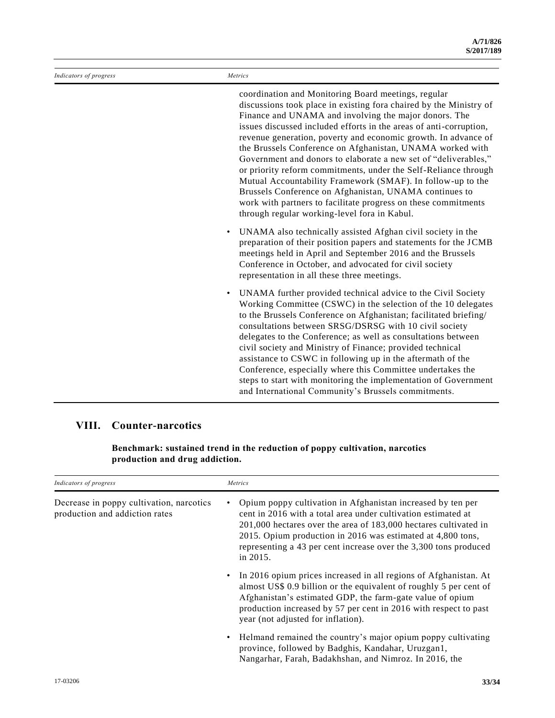| Indicators of progress | Metrics                                                                                                                                                                                                                                                                                                                                                                                                                                                                                                                                                                                                                                                                                                                                                                  |
|------------------------|--------------------------------------------------------------------------------------------------------------------------------------------------------------------------------------------------------------------------------------------------------------------------------------------------------------------------------------------------------------------------------------------------------------------------------------------------------------------------------------------------------------------------------------------------------------------------------------------------------------------------------------------------------------------------------------------------------------------------------------------------------------------------|
|                        | coordination and Monitoring Board meetings, regular<br>discussions took place in existing fora chaired by the Ministry of<br>Finance and UNAMA and involving the major donors. The<br>issues discussed included efforts in the areas of anti-corruption,<br>revenue generation, poverty and economic growth. In advance of<br>the Brussels Conference on Afghanistan, UNAMA worked with<br>Government and donors to elaborate a new set of "deliverables,"<br>or priority reform commitments, under the Self-Reliance through<br>Mutual Accountability Framework (SMAF). In follow-up to the<br>Brussels Conference on Afghanistan, UNAMA continues to<br>work with partners to facilitate progress on these commitments<br>through regular working-level fora in Kabul. |
|                        | UNAMA also technically assisted Afghan civil society in the<br>$\bullet$<br>preparation of their position papers and statements for the JCMB<br>meetings held in April and September 2016 and the Brussels<br>Conference in October, and advocated for civil society<br>representation in all these three meetings.                                                                                                                                                                                                                                                                                                                                                                                                                                                      |
|                        | UNAMA further provided technical advice to the Civil Society<br>$\bullet$<br>Working Committee (CSWC) in the selection of the 10 delegates<br>to the Brussels Conference on Afghanistan; facilitated briefing/<br>consultations between SRSG/DSRSG with 10 civil society<br>delegates to the Conference; as well as consultations between<br>civil society and Ministry of Finance; provided technical<br>assistance to CSWC in following up in the aftermath of the<br>Conference, especially where this Committee undertakes the<br>steps to start with monitoring the implementation of Government<br>and International Community's Brussels commitments.                                                                                                             |

## **VIII. Counter-narcotics**

**Benchmark: sustained trend in the reduction of poppy cultivation, narcotics production and drug addiction.**

| Indicators of progress                                                     | Metrics                                                                                                                                                                                                                                                                                                                                         |
|----------------------------------------------------------------------------|-------------------------------------------------------------------------------------------------------------------------------------------------------------------------------------------------------------------------------------------------------------------------------------------------------------------------------------------------|
| Decrease in poppy cultivation, narcotics<br>production and addiction rates | Opium poppy cultivation in Afghanistan increased by ten per<br>cent in 2016 with a total area under cultivation estimated at<br>201,000 hectares over the area of 183,000 hectares cultivated in<br>2015. Opium production in 2016 was estimated at 4,800 tons,<br>representing a 43 per cent increase over the 3,300 tons produced<br>in 2015. |
|                                                                            | • In 2016 opium prices increased in all regions of Afghanistan. At<br>almost US\$ 0.9 billion or the equivalent of roughly 5 per cent of<br>Afghanistan's estimated GDP, the farm-gate value of opium<br>production increased by 57 per cent in 2016 with respect to past<br>year (not adjusted for inflation).                                 |
|                                                                            | • Helmand remained the country's major opium poppy cultivating<br>province, followed by Badghis, Kandahar, Uruzgan1,<br>Nangarhar, Farah, Badakhshan, and Nimroz. In 2016, the                                                                                                                                                                  |